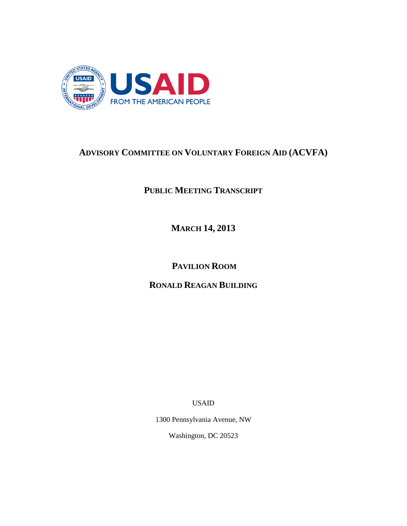

# **ADVISORY COMMITTEE ON VOLUNTARY FOREIGN AID (ACVFA)**

**PUBLIC MEETING TRANSCRIPT**

**MARCH 14, 2013**

**PAVILION ROOM**

**RONALD REAGAN BUILDING**

USAID

1300 Pennsylvania Avenue, NW

Washington, DC 20523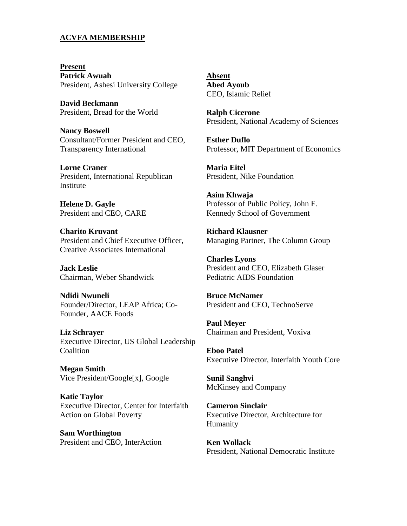# **ACVFA MEMBERSHIP**

**Present Patrick Awuah** President, Ashesi University College

**David Beckmann** President, Bread for the World

**Nancy Boswell** Consultant/Former President and CEO, Transparency International

**Lorne Craner** President, International Republican Institute

**Helene D. Gayle** President and CEO, CARE

**Charito Kruvant** President and Chief Executive Officer, Creative Associates International

**Jack Leslie** Chairman, Weber Shandwick

**Ndidi Nwuneli** Founder/Director, LEAP Africa; Co-Founder, AACE Foods

**Liz Schrayer** Executive Director, US Global Leadership **Coalition** 

**Megan Smith** Vice President/Google[x], Google

**Katie Taylor** Executive Director, Center for Interfaith Action on Global Poverty

**Sam Worthington** President and CEO, InterAction **Absent Abed Ayoub** CEO, Islamic Relief

**Ralph Cicerone** President, National Academy of Sciences

**Esther Duflo** Professor, MIT Department of Economics

**Maria Eitel** President, Nike Foundation

**Asim Khwaja** Professor of Public Policy, John F. Kennedy School of Government

**Richard Klausner** Managing Partner, The Column Group

**Charles Lyons** President and CEO, Elizabeth Glaser Pediatric AIDS Foundation

**Bruce McNamer** President and CEO, TechnoServe

**Paul Meyer** Chairman and President, Voxiva

**Eboo Patel** Executive Director, Interfaith Youth Core

**Sunil Sanghvi** McKinsey and Company

**Cameron Sinclair** Executive Director, Architecture for Humanity

**Ken Wollack**  President, National Democratic Institute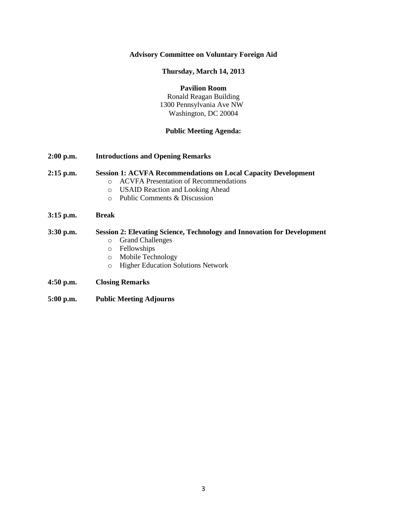# **Advisory Committee on Voluntary Foreign Aid**

# **Thursday, March 14, 2013**

# **Pavilion Room**

Ronald Reagan Building 1300 Pennsylvania Ave NW Washington, DC 20004

# **Public Meeting Agenda:**

**2:00 p.m. Introductions and Opening Remarks**

## **2:15 p.m. Session 1: ACVFA Recommendations on Local Capacity Development**

- o ACVFA Presentation of Recommendations
- o USAID Reaction and Looking Ahead
- o Public Comments & Discussion
- **3:15 p.m. Break**

# **3:30 p.m. Session 2: Elevating Science, Technology and Innovation for Development** o Grand Challenges

- o Fellowships
- o Mobile Technology
- o Higher Education Solutions Network
- **4:50 p.m. Closing Remarks**
- **5:00 p.m. Public Meeting Adjourns**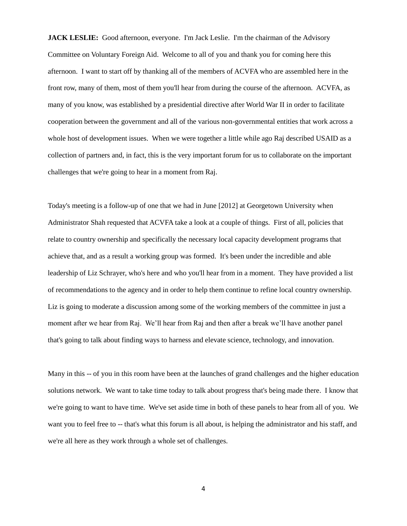**JACK LESLIE:** Good afternoon, everyone. I'm Jack Leslie. I'm the chairman of the Advisory Committee on Voluntary Foreign Aid. Welcome to all of you and thank you for coming here this afternoon. I want to start off by thanking all of the members of ACVFA who are assembled here in the front row, many of them, most of them you'll hear from during the course of the afternoon. ACVFA, as many of you know, was established by a presidential directive after World War II in order to facilitate cooperation between the government and all of the various non-governmental entities that work across a whole host of development issues. When we were together a little while ago Raj described USAID as a collection of partners and, in fact, this is the very important forum for us to collaborate on the important challenges that we're going to hear in a moment from Raj.

Today's meeting is a follow-up of one that we had in June [2012] at Georgetown University when Administrator Shah requested that ACVFA take a look at a couple of things. First of all, policies that relate to country ownership and specifically the necessary local capacity development programs that achieve that, and as a result a working group was formed. It's been under the incredible and able leadership of Liz Schrayer, who's here and who you'll hear from in a moment. They have provided a list of recommendations to the agency and in order to help them continue to refine local country ownership. Liz is going to moderate a discussion among some of the working members of the committee in just a moment after we hear from Raj. We'll hear from Raj and then after a break we'll have another panel that's going to talk about finding ways to harness and elevate science, technology, and innovation.

Many in this -- of you in this room have been at the launches of grand challenges and the higher education solutions network. We want to take time today to talk about progress that's being made there. I know that we're going to want to have time. We've set aside time in both of these panels to hear from all of you. We want you to feel free to -- that's what this forum is all about, is helping the administrator and his staff, and we're all here as they work through a whole set of challenges.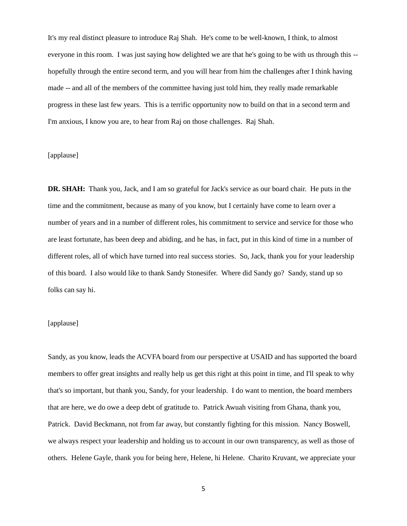It's my real distinct pleasure to introduce Raj Shah. He's come to be well-known, I think, to almost everyone in this room. I was just saying how delighted we are that he's going to be with us through this - hopefully through the entire second term, and you will hear from him the challenges after I think having made -- and all of the members of the committee having just told him, they really made remarkable progress in these last few years. This is a terrific opportunity now to build on that in a second term and I'm anxious, I know you are, to hear from Raj on those challenges. Raj Shah.

## [applause]

**DR. SHAH:** Thank you, Jack, and I am so grateful for Jack's service as our board chair. He puts in the time and the commitment, because as many of you know, but I certainly have come to learn over a number of years and in a number of different roles, his commitment to service and service for those who are least fortunate, has been deep and abiding, and he has, in fact, put in this kind of time in a number of different roles, all of which have turned into real success stories. So, Jack, thank you for your leadership of this board. I also would like to thank Sandy Stonesifer. Where did Sandy go? Sandy, stand up so folks can say hi.

# [applause]

Sandy, as you know, leads the ACVFA board from our perspective at USAID and has supported the board members to offer great insights and really help us get this right at this point in time, and I'll speak to why that's so important, but thank you, Sandy, for your leadership. I do want to mention, the board members that are here, we do owe a deep debt of gratitude to. Patrick Awuah visiting from Ghana, thank you, Patrick. David Beckmann, not from far away, but constantly fighting for this mission. Nancy Boswell, we always respect your leadership and holding us to account in our own transparency, as well as those of others. Helene Gayle, thank you for being here, Helene, hi Helene. Charito Kruvant, we appreciate your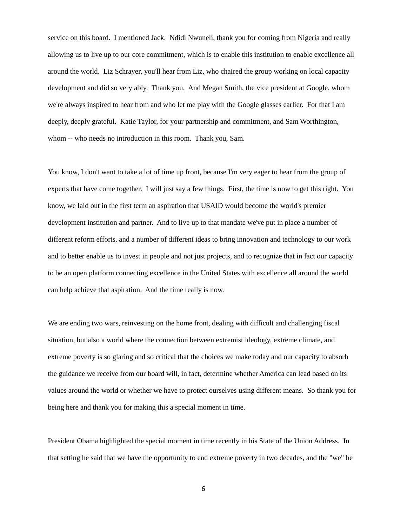service on this board. I mentioned Jack. Ndidi Nwuneli, thank you for coming from Nigeria and really allowing us to live up to our core commitment, which is to enable this institution to enable excellence all around the world. Liz Schrayer, you'll hear from Liz, who chaired the group working on local capacity development and did so very ably. Thank you. And Megan Smith, the vice president at Google, whom we're always inspired to hear from and who let me play with the Google glasses earlier. For that I am deeply, deeply grateful. Katie Taylor, for your partnership and commitment, and Sam Worthington, whom -- who needs no introduction in this room. Thank you, Sam.

You know, I don't want to take a lot of time up front, because I'm very eager to hear from the group of experts that have come together. I will just say a few things. First, the time is now to get this right. You know, we laid out in the first term an aspiration that USAID would become the world's premier development institution and partner. And to live up to that mandate we've put in place a number of different reform efforts, and a number of different ideas to bring innovation and technology to our work and to better enable us to invest in people and not just projects, and to recognize that in fact our capacity to be an open platform connecting excellence in the United States with excellence all around the world can help achieve that aspiration. And the time really is now.

We are ending two wars, reinvesting on the home front, dealing with difficult and challenging fiscal situation, but also a world where the connection between extremist ideology, extreme climate, and extreme poverty is so glaring and so critical that the choices we make today and our capacity to absorb the guidance we receive from our board will, in fact, determine whether America can lead based on its values around the world or whether we have to protect ourselves using different means. So thank you for being here and thank you for making this a special moment in time.

President Obama highlighted the special moment in time recently in his State of the Union Address. In that setting he said that we have the opportunity to end extreme poverty in two decades, and the "we" he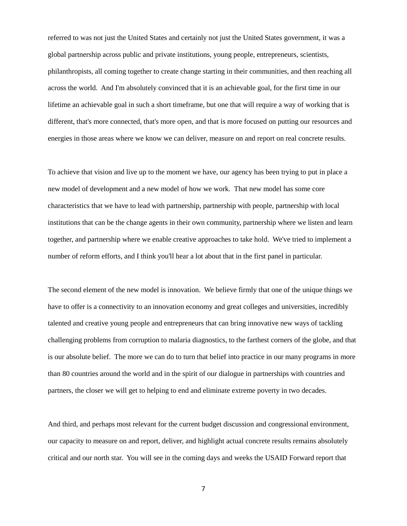referred to was not just the United States and certainly not just the United States government, it was a global partnership across public and private institutions, young people, entrepreneurs, scientists, philanthropists, all coming together to create change starting in their communities, and then reaching all across the world. And I'm absolutely convinced that it is an achievable goal, for the first time in our lifetime an achievable goal in such a short timeframe, but one that will require a way of working that is different, that's more connected, that's more open, and that is more focused on putting our resources and energies in those areas where we know we can deliver, measure on and report on real concrete results.

To achieve that vision and live up to the moment we have, our agency has been trying to put in place a new model of development and a new model of how we work. That new model has some core characteristics that we have to lead with partnership, partnership with people, partnership with local institutions that can be the change agents in their own community, partnership where we listen and learn together, and partnership where we enable creative approaches to take hold. We've tried to implement a number of reform efforts, and I think you'll hear a lot about that in the first panel in particular.

The second element of the new model is innovation. We believe firmly that one of the unique things we have to offer is a connectivity to an innovation economy and great colleges and universities, incredibly talented and creative young people and entrepreneurs that can bring innovative new ways of tackling challenging problems from corruption to malaria diagnostics, to the farthest corners of the globe, and that is our absolute belief. The more we can do to turn that belief into practice in our many programs in more than 80 countries around the world and in the spirit of our dialogue in partnerships with countries and partners, the closer we will get to helping to end and eliminate extreme poverty in two decades.

And third, and perhaps most relevant for the current budget discussion and congressional environment, our capacity to measure on and report, deliver, and highlight actual concrete results remains absolutely critical and our north star. You will see in the coming days and weeks the USAID Forward report that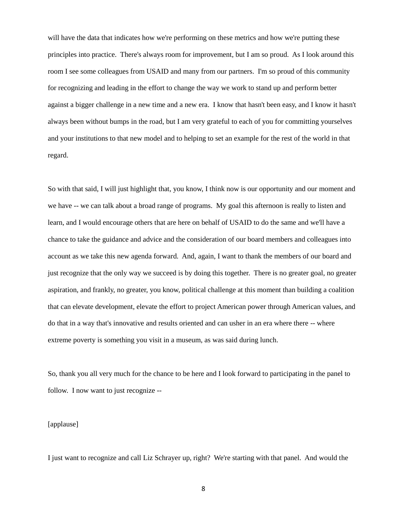will have the data that indicates how we're performing on these metrics and how we're putting these principles into practice. There's always room for improvement, but I am so proud. As I look around this room I see some colleagues from USAID and many from our partners. I'm so proud of this community for recognizing and leading in the effort to change the way we work to stand up and perform better against a bigger challenge in a new time and a new era. I know that hasn't been easy, and I know it hasn't always been without bumps in the road, but I am very grateful to each of you for committing yourselves and your institutions to that new model and to helping to set an example for the rest of the world in that regard.

So with that said, I will just highlight that, you know, I think now is our opportunity and our moment and we have -- we can talk about a broad range of programs. My goal this afternoon is really to listen and learn, and I would encourage others that are here on behalf of USAID to do the same and we'll have a chance to take the guidance and advice and the consideration of our board members and colleagues into account as we take this new agenda forward. And, again, I want to thank the members of our board and just recognize that the only way we succeed is by doing this together. There is no greater goal, no greater aspiration, and frankly, no greater, you know, political challenge at this moment than building a coalition that can elevate development, elevate the effort to project American power through American values, and do that in a way that's innovative and results oriented and can usher in an era where there -- where extreme poverty is something you visit in a museum, as was said during lunch.

So, thank you all very much for the chance to be here and I look forward to participating in the panel to follow. I now want to just recognize --

[applause]

I just want to recognize and call Liz Schrayer up, right? We're starting with that panel. And would the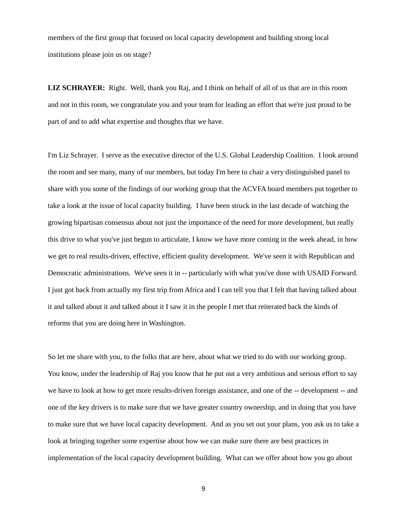members of the first group that focused on local capacity development and building strong local institutions please join us on stage?

**LIZ SCHRAYER:** Right. Well, thank you Raj, and I think on behalf of all of us that are in this room and not in this room, we congratulate you and your team for leading an effort that we're just proud to be part of and to add what expertise and thoughts that we have.

I'm Liz Schrayer. I serve as the executive director of the U.S. Global Leadership Coalition. I look around the room and see many, many of our members, but today I'm here to chair a very distinguished panel to share with you some of the findings of our working group that the ACVFA board members put together to take a look at the issue of local capacity building. I have been struck in the last decade of watching the growing bipartisan consensus about not just the importance of the need for more development, but really this drive to what you've just begun to articulate, I know we have more coming in the week ahead, in how we get to real results-driven, effective, efficient quality development. We've seen it with Republican and Democratic administrations. We've seen it in -- particularly with what you've done with USAID Forward. I just got back from actually my first trip from Africa and I can tell you that I felt that having talked about it and talked about it and talked about it I saw it in the people I met that reiterated back the kinds of reforms that you are doing here in Washington.

So let me share with you, to the folks that are here, about what we tried to do with our working group. You know, under the leadership of Raj you know that he put out a very ambitious and serious effort to say we have to look at how to get more results-driven foreign assistance, and one of the -- development -- and one of the key drivers is to make sure that we have greater country ownership, and in doing that you have to make sure that we have local capacity development. And as you set out your plans, you ask us to take a look at bringing together some expertise about how we can make sure there are best practices in implementation of the local capacity development building. What can we offer about how you go about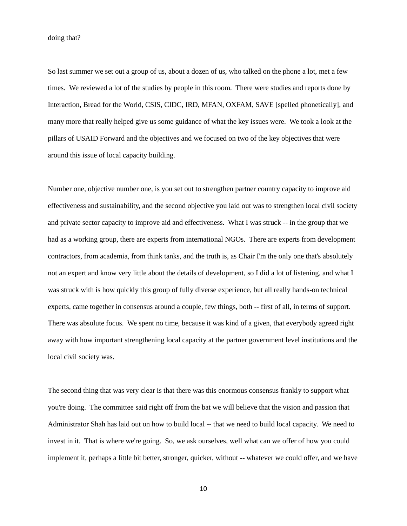doing that?

So last summer we set out a group of us, about a dozen of us, who talked on the phone a lot, met a few times. We reviewed a lot of the studies by people in this room. There were studies and reports done by Interaction, Bread for the World, CSIS, CIDC, IRD, MFAN, OXFAM, SAVE [spelled phonetically], and many more that really helped give us some guidance of what the key issues were. We took a look at the pillars of USAID Forward and the objectives and we focused on two of the key objectives that were around this issue of local capacity building.

Number one, objective number one, is you set out to strengthen partner country capacity to improve aid effectiveness and sustainability, and the second objective you laid out was to strengthen local civil society and private sector capacity to improve aid and effectiveness. What I was struck -- in the group that we had as a working group, there are experts from international NGOs. There are experts from development contractors, from academia, from think tanks, and the truth is, as Chair I'm the only one that's absolutely not an expert and know very little about the details of development, so I did a lot of listening, and what I was struck with is how quickly this group of fully diverse experience, but all really hands-on technical experts, came together in consensus around a couple, few things, both -- first of all, in terms of support. There was absolute focus. We spent no time, because it was kind of a given, that everybody agreed right away with how important strengthening local capacity at the partner government level institutions and the local civil society was.

The second thing that was very clear is that there was this enormous consensus frankly to support what you're doing. The committee said right off from the bat we will believe that the vision and passion that Administrator Shah has laid out on how to build local -- that we need to build local capacity. We need to invest in it. That is where we're going. So, we ask ourselves, well what can we offer of how you could implement it, perhaps a little bit better, stronger, quicker, without -- whatever we could offer, and we have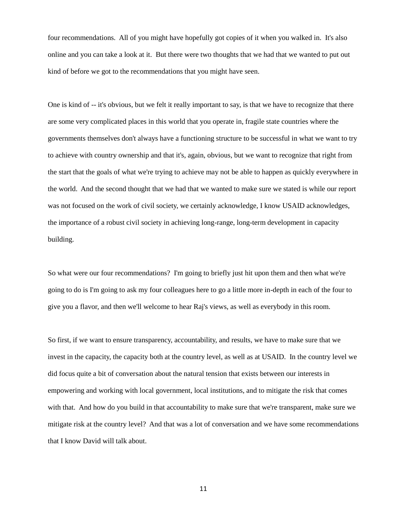four recommendations. All of you might have hopefully got copies of it when you walked in. It's also online and you can take a look at it. But there were two thoughts that we had that we wanted to put out kind of before we got to the recommendations that you might have seen.

One is kind of -- it's obvious, but we felt it really important to say, is that we have to recognize that there are some very complicated places in this world that you operate in, fragile state countries where the governments themselves don't always have a functioning structure to be successful in what we want to try to achieve with country ownership and that it's, again, obvious, but we want to recognize that right from the start that the goals of what we're trying to achieve may not be able to happen as quickly everywhere in the world. And the second thought that we had that we wanted to make sure we stated is while our report was not focused on the work of civil society, we certainly acknowledge, I know USAID acknowledges, the importance of a robust civil society in achieving long-range, long-term development in capacity building.

So what were our four recommendations? I'm going to briefly just hit upon them and then what we're going to do is I'm going to ask my four colleagues here to go a little more in-depth in each of the four to give you a flavor, and then we'll welcome to hear Raj's views, as well as everybody in this room.

So first, if we want to ensure transparency, accountability, and results, we have to make sure that we invest in the capacity, the capacity both at the country level, as well as at USAID. In the country level we did focus quite a bit of conversation about the natural tension that exists between our interests in empowering and working with local government, local institutions, and to mitigate the risk that comes with that. And how do you build in that accountability to make sure that we're transparent, make sure we mitigate risk at the country level? And that was a lot of conversation and we have some recommendations that I know David will talk about.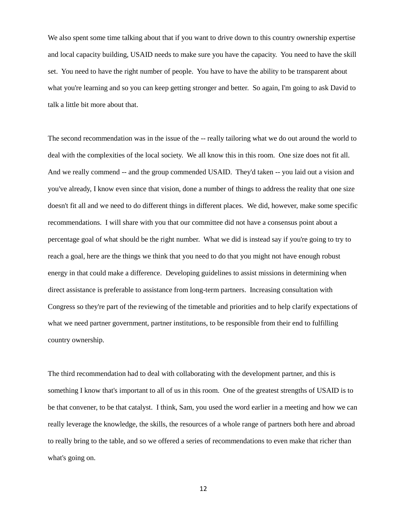We also spent some time talking about that if you want to drive down to this country ownership expertise and local capacity building, USAID needs to make sure you have the capacity. You need to have the skill set. You need to have the right number of people. You have to have the ability to be transparent about what you're learning and so you can keep getting stronger and better. So again, I'm going to ask David to talk a little bit more about that.

The second recommendation was in the issue of the -- really tailoring what we do out around the world to deal with the complexities of the local society. We all know this in this room. One size does not fit all. And we really commend -- and the group commended USAID. They'd taken -- you laid out a vision and you've already, I know even since that vision, done a number of things to address the reality that one size doesn't fit all and we need to do different things in different places. We did, however, make some specific recommendations. I will share with you that our committee did not have a consensus point about a percentage goal of what should be the right number. What we did is instead say if you're going to try to reach a goal, here are the things we think that you need to do that you might not have enough robust energy in that could make a difference. Developing guidelines to assist missions in determining when direct assistance is preferable to assistance from long-term partners. Increasing consultation with Congress so they're part of the reviewing of the timetable and priorities and to help clarify expectations of what we need partner government, partner institutions, to be responsible from their end to fulfilling country ownership.

The third recommendation had to deal with collaborating with the development partner, and this is something I know that's important to all of us in this room. One of the greatest strengths of USAID is to be that convener, to be that catalyst. I think, Sam, you used the word earlier in a meeting and how we can really leverage the knowledge, the skills, the resources of a whole range of partners both here and abroad to really bring to the table, and so we offered a series of recommendations to even make that richer than what's going on.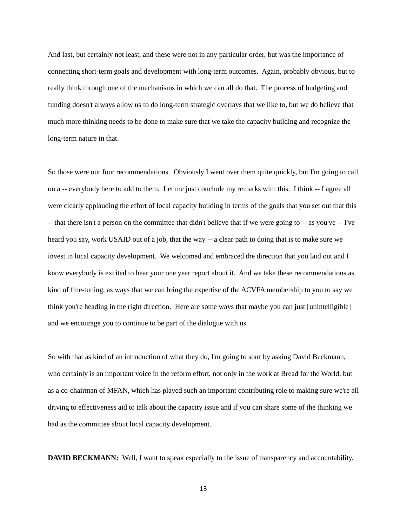And last, but certainly not least, and these were not in any particular order, but was the importance of connecting short-term goals and development with long-term outcomes. Again, probably obvious, but to really think through one of the mechanisms in which we can all do that. The process of budgeting and funding doesn't always allow us to do long-term strategic overlays that we like to, but we do believe that much more thinking needs to be done to make sure that we take the capacity building and recognize the long-term nature in that.

So those were our four recommendations. Obviously I went over them quite quickly, but I'm going to call on a -- everybody here to add to them. Let me just conclude my remarks with this. I think -- I agree all were clearly applauding the effort of local capacity building in terms of the goals that you set out that this -- that there isn't a person on the committee that didn't believe that if we were going to -- as you've -- I've heard you say, work USAID out of a job, that the way -- a clear path to doing that is to make sure we invest in local capacity development. We welcomed and embraced the direction that you laid out and I know everybody is excited to hear your one year report about it. And we take these recommendations as kind of fine-tuning, as ways that we can bring the expertise of the ACVFA membership to you to say we think you're heading in the right direction. Here are some ways that maybe you can just [unintelligible] and we encourage you to continue to be part of the dialogue with us.

So with that as kind of an introduction of what they do, I'm going to start by asking David Beckmann, who certainly is an important voice in the reform effort, not only in the work at Bread for the World, but as a co-chairman of MFAN, which has played such an important contributing role to making sure we're all driving to effectiveness aid to talk about the capacity issue and if you can share some of the thinking we had as the committee about local capacity development.

**DAVID BECKMANN:** Well, I want to speak especially to the issue of transparency and accountability.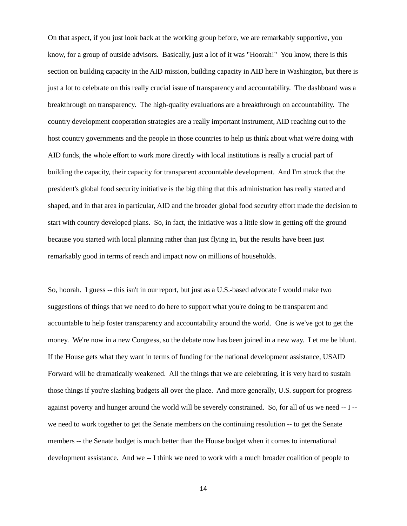On that aspect, if you just look back at the working group before, we are remarkably supportive, you know, for a group of outside advisors. Basically, just a lot of it was "Hoorah!" You know, there is this section on building capacity in the AID mission, building capacity in AID here in Washington, but there is just a lot to celebrate on this really crucial issue of transparency and accountability. The dashboard was a breakthrough on transparency. The high-quality evaluations are a breakthrough on accountability. The country development cooperation strategies are a really important instrument, AID reaching out to the host country governments and the people in those countries to help us think about what we're doing with AID funds, the whole effort to work more directly with local institutions is really a crucial part of building the capacity, their capacity for transparent accountable development. And I'm struck that the president's global food security initiative is the big thing that this administration has really started and shaped, and in that area in particular, AID and the broader global food security effort made the decision to start with country developed plans. So, in fact, the initiative was a little slow in getting off the ground because you started with local planning rather than just flying in, but the results have been just remarkably good in terms of reach and impact now on millions of households.

So, hoorah. I guess -- this isn't in our report, but just as a U.S.-based advocate I would make two suggestions of things that we need to do here to support what you're doing to be transparent and accountable to help foster transparency and accountability around the world. One is we've got to get the money. We're now in a new Congress, so the debate now has been joined in a new way. Let me be blunt. If the House gets what they want in terms of funding for the national development assistance, USAID Forward will be dramatically weakened. All the things that we are celebrating, it is very hard to sustain those things if you're slashing budgets all over the place. And more generally, U.S. support for progress against poverty and hunger around the world will be severely constrained. So, for all of us we need -- I - we need to work together to get the Senate members on the continuing resolution -- to get the Senate members -- the Senate budget is much better than the House budget when it comes to international development assistance. And we -- I think we need to work with a much broader coalition of people to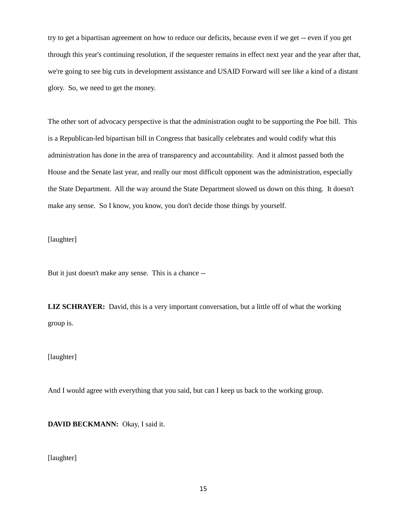try to get a bipartisan agreement on how to reduce our deficits, because even if we get -- even if you get through this year's continuing resolution, if the sequester remains in effect next year and the year after that, we're going to see big cuts in development assistance and USAID Forward will see like a kind of a distant glory. So, we need to get the money.

The other sort of advocacy perspective is that the administration ought to be supporting the Poe bill. This is a Republican-led bipartisan bill in Congress that basically celebrates and would codify what this administration has done in the area of transparency and accountability. And it almost passed both the House and the Senate last year, and really our most difficult opponent was the administration, especially the State Department. All the way around the State Department slowed us down on this thing. It doesn't make any sense. So I know, you know, you don't decide those things by yourself.

[laughter]

But it just doesn't make any sense. This is a chance --

**LIZ SCHRAYER:** David, this is a very important conversation, but a little off of what the working group is.

[laughter]

And I would agree with everything that you said, but can I keep us back to the working group.

**DAVID BECKMANN:** Okay, I said it.

[laughter]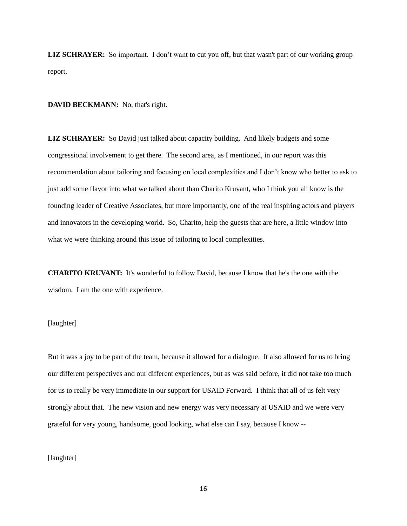**LIZ SCHRAYER:** So important. I don't want to cut you off, but that wasn't part of our working group report.

**DAVID BECKMANN:** No, that's right.

**LIZ SCHRAYER:** So David just talked about capacity building. And likely budgets and some congressional involvement to get there. The second area, as I mentioned, in our report was this recommendation about tailoring and focusing on local complexities and I don't know who better to ask to just add some flavor into what we talked about than Charito Kruvant, who I think you all know is the founding leader of Creative Associates, but more importantly, one of the real inspiring actors and players and innovators in the developing world. So, Charito, help the guests that are here, a little window into what we were thinking around this issue of tailoring to local complexities.

**CHARITO KRUVANT:** It's wonderful to follow David, because I know that he's the one with the wisdom. I am the one with experience.

# [laughter]

But it was a joy to be part of the team, because it allowed for a dialogue. It also allowed for us to bring our different perspectives and our different experiences, but as was said before, it did not take too much for us to really be very immediate in our support for USAID Forward. I think that all of us felt very strongly about that. The new vision and new energy was very necessary at USAID and we were very grateful for very young, handsome, good looking, what else can I say, because I know --

## [laughter]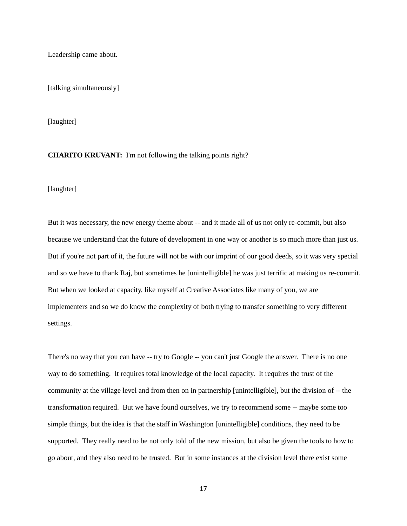Leadership came about.

[talking simultaneously]

[laughter]

### **CHARITO KRUVANT:** I'm not following the talking points right?

[laughter]

But it was necessary, the new energy theme about -- and it made all of us not only re-commit, but also because we understand that the future of development in one way or another is so much more than just us. But if you're not part of it, the future will not be with our imprint of our good deeds, so it was very special and so we have to thank Raj, but sometimes he [unintelligible] he was just terrific at making us re-commit. But when we looked at capacity, like myself at Creative Associates like many of you, we are implementers and so we do know the complexity of both trying to transfer something to very different settings.

There's no way that you can have -- try to Google -- you can't just Google the answer. There is no one way to do something. It requires total knowledge of the local capacity. It requires the trust of the community at the village level and from then on in partnership [unintelligible], but the division of -- the transformation required. But we have found ourselves, we try to recommend some -- maybe some too simple things, but the idea is that the staff in Washington [unintelligible] conditions, they need to be supported. They really need to be not only told of the new mission, but also be given the tools to how to go about, and they also need to be trusted. But in some instances at the division level there exist some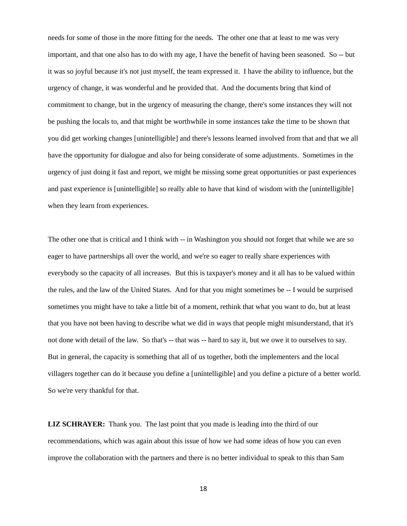needs for some of those in the more fitting for the needs. The other one that at least to me was very important, and that one also has to do with my age, I have the benefit of having been seasoned. So -- but it was so joyful because it's not just myself, the team expressed it. I have the ability to influence, but the urgency of change, it was wonderful and he provided that. And the documents bring that kind of commitment to change, but in the urgency of measuring the change, there's some instances they will not be pushing the locals to, and that might be worthwhile in some instances take the time to be shown that you did get working changes [unintelligible] and there's lessons learned involved from that and that we all have the opportunity for dialogue and also for being considerate of some adjustments. Sometimes in the urgency of just doing it fast and report, we might be missing some great opportunities or past experiences and past experience is [unintelligible] so really able to have that kind of wisdom with the [unintelligible] when they learn from experiences.

The other one that is critical and I think with -- in Washington you should not forget that while we are so eager to have partnerships all over the world, and we're so eager to really share experiences with everybody so the capacity of all increases. But this is taxpayer's money and it all has to be valued within the rules, and the law of the United States. And for that you might sometimes be -- I would be surprised sometimes you might have to take a little bit of a moment, rethink that what you want to do, but at least that you have not been having to describe what we did in ways that people might misunderstand, that it's not done with detail of the law. So that's -- that was -- hard to say it, but we owe it to ourselves to say. But in general, the capacity is something that all of us together, both the implementers and the local villagers together can do it because you define a [unintelligible] and you define a picture of a better world. So we're very thankful for that.

**LIZ SCHRAYER:** Thank you. The last point that you made is leading into the third of our recommendations, which was again about this issue of how we had some ideas of how you can even improve the collaboration with the partners and there is no better individual to speak to this than Sam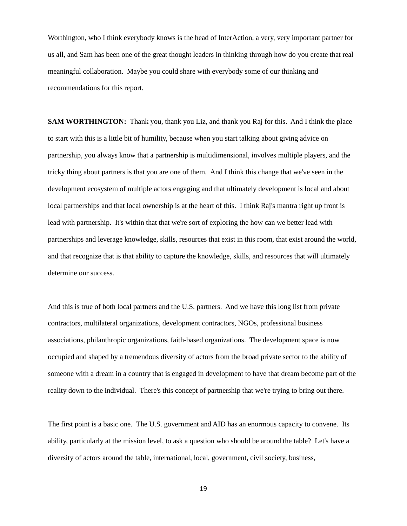Worthington, who I think everybody knows is the head of InterAction, a very, very important partner for us all, and Sam has been one of the great thought leaders in thinking through how do you create that real meaningful collaboration. Maybe you could share with everybody some of our thinking and recommendations for this report.

**SAM WORTHINGTON:** Thank you, thank you Liz, and thank you Raj for this. And I think the place to start with this is a little bit of humility, because when you start talking about giving advice on partnership, you always know that a partnership is multidimensional, involves multiple players, and the tricky thing about partners is that you are one of them. And I think this change that we've seen in the development ecosystem of multiple actors engaging and that ultimately development is local and about local partnerships and that local ownership is at the heart of this. I think Raj's mantra right up front is lead with partnership. It's within that that we're sort of exploring the how can we better lead with partnerships and leverage knowledge, skills, resources that exist in this room, that exist around the world, and that recognize that is that ability to capture the knowledge, skills, and resources that will ultimately determine our success.

And this is true of both local partners and the U.S. partners. And we have this long list from private contractors, multilateral organizations, development contractors, NGOs, professional business associations, philanthropic organizations, faith-based organizations. The development space is now occupied and shaped by a tremendous diversity of actors from the broad private sector to the ability of someone with a dream in a country that is engaged in development to have that dream become part of the reality down to the individual. There's this concept of partnership that we're trying to bring out there.

The first point is a basic one. The U.S. government and AID has an enormous capacity to convene. Its ability, particularly at the mission level, to ask a question who should be around the table? Let's have a diversity of actors around the table, international, local, government, civil society, business,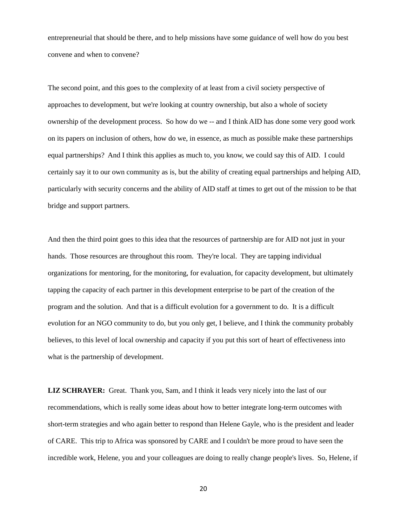entrepreneurial that should be there, and to help missions have some guidance of well how do you best convene and when to convene?

The second point, and this goes to the complexity of at least from a civil society perspective of approaches to development, but we're looking at country ownership, but also a whole of society ownership of the development process. So how do we -- and I think AID has done some very good work on its papers on inclusion of others, how do we, in essence, as much as possible make these partnerships equal partnerships? And I think this applies as much to, you know, we could say this of AID. I could certainly say it to our own community as is, but the ability of creating equal partnerships and helping AID, particularly with security concerns and the ability of AID staff at times to get out of the mission to be that bridge and support partners.

And then the third point goes to this idea that the resources of partnership are for AID not just in your hands. Those resources are throughout this room. They're local. They are tapping individual organizations for mentoring, for the monitoring, for evaluation, for capacity development, but ultimately tapping the capacity of each partner in this development enterprise to be part of the creation of the program and the solution. And that is a difficult evolution for a government to do. It is a difficult evolution for an NGO community to do, but you only get, I believe, and I think the community probably believes, to this level of local ownership and capacity if you put this sort of heart of effectiveness into what is the partnership of development.

**LIZ SCHRAYER:** Great. Thank you, Sam, and I think it leads very nicely into the last of our recommendations, which is really some ideas about how to better integrate long-term outcomes with short-term strategies and who again better to respond than Helene Gayle, who is the president and leader of CARE. This trip to Africa was sponsored by CARE and I couldn't be more proud to have seen the incredible work, Helene, you and your colleagues are doing to really change people's lives. So, Helene, if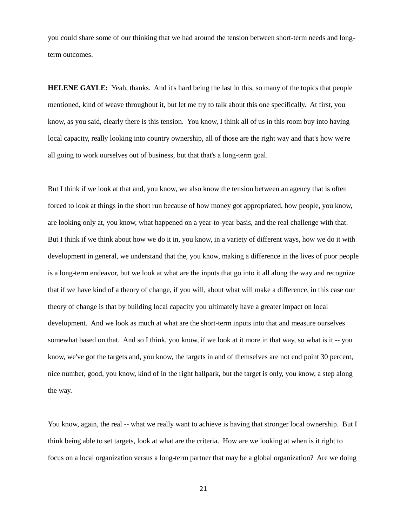you could share some of our thinking that we had around the tension between short-term needs and longterm outcomes.

**HELENE GAYLE:** Yeah, thanks. And it's hard being the last in this, so many of the topics that people mentioned, kind of weave throughout it, but let me try to talk about this one specifically. At first, you know, as you said, clearly there is this tension. You know, I think all of us in this room buy into having local capacity, really looking into country ownership, all of those are the right way and that's how we're all going to work ourselves out of business, but that that's a long-term goal.

But I think if we look at that and, you know, we also know the tension between an agency that is often forced to look at things in the short run because of how money got appropriated, how people, you know, are looking only at, you know, what happened on a year-to-year basis, and the real challenge with that. But I think if we think about how we do it in, you know, in a variety of different ways, how we do it with development in general, we understand that the, you know, making a difference in the lives of poor people is a long-term endeavor, but we look at what are the inputs that go into it all along the way and recognize that if we have kind of a theory of change, if you will, about what will make a difference, in this case our theory of change is that by building local capacity you ultimately have a greater impact on local development. And we look as much at what are the short-term inputs into that and measure ourselves somewhat based on that. And so I think, you know, if we look at it more in that way, so what is it -- you know, we've got the targets and, you know, the targets in and of themselves are not end point 30 percent, nice number, good, you know, kind of in the right ballpark, but the target is only, you know, a step along the way.

You know, again, the real -- what we really want to achieve is having that stronger local ownership. But I think being able to set targets, look at what are the criteria. How are we looking at when is it right to focus on a local organization versus a long-term partner that may be a global organization? Are we doing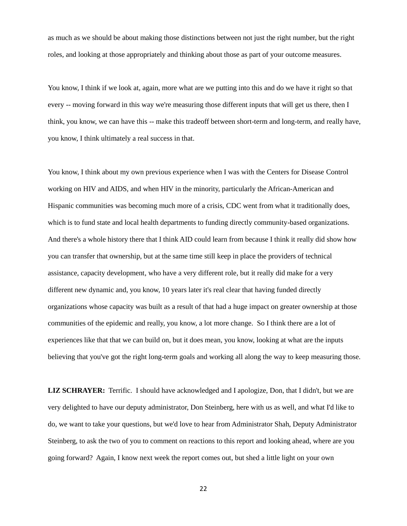as much as we should be about making those distinctions between not just the right number, but the right roles, and looking at those appropriately and thinking about those as part of your outcome measures.

You know, I think if we look at, again, more what are we putting into this and do we have it right so that every -- moving forward in this way we're measuring those different inputs that will get us there, then I think, you know, we can have this -- make this tradeoff between short-term and long-term, and really have, you know, I think ultimately a real success in that.

You know, I think about my own previous experience when I was with the Centers for Disease Control working on HIV and AIDS, and when HIV in the minority, particularly the African-American and Hispanic communities was becoming much more of a crisis, CDC went from what it traditionally does, which is to fund state and local health departments to funding directly community-based organizations. And there's a whole history there that I think AID could learn from because I think it really did show how you can transfer that ownership, but at the same time still keep in place the providers of technical assistance, capacity development, who have a very different role, but it really did make for a very different new dynamic and, you know, 10 years later it's real clear that having funded directly organizations whose capacity was built as a result of that had a huge impact on greater ownership at those communities of the epidemic and really, you know, a lot more change. So I think there are a lot of experiences like that that we can build on, but it does mean, you know, looking at what are the inputs believing that you've got the right long-term goals and working all along the way to keep measuring those.

**LIZ SCHRAYER:** Terrific. I should have acknowledged and I apologize, Don, that I didn't, but we are very delighted to have our deputy administrator, Don Steinberg, here with us as well, and what I'd like to do, we want to take your questions, but we'd love to hear from Administrator Shah, Deputy Administrator Steinberg, to ask the two of you to comment on reactions to this report and looking ahead, where are you going forward? Again, I know next week the report comes out, but shed a little light on your own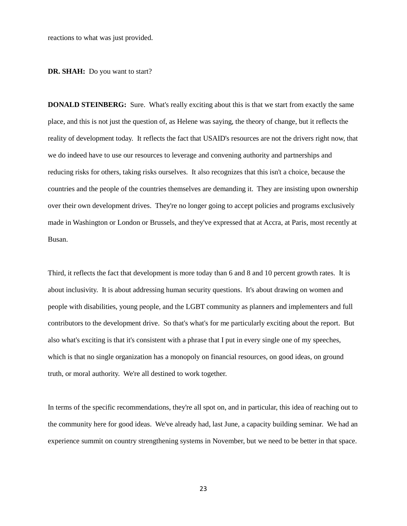reactions to what was just provided.

#### **DR. SHAH:** Do you want to start?

**DONALD STEINBERG:** Sure. What's really exciting about this is that we start from exactly the same place, and this is not just the question of, as Helene was saying, the theory of change, but it reflects the reality of development today. It reflects the fact that USAID's resources are not the drivers right now, that we do indeed have to use our resources to leverage and convening authority and partnerships and reducing risks for others, taking risks ourselves. It also recognizes that this isn't a choice, because the countries and the people of the countries themselves are demanding it. They are insisting upon ownership over their own development drives. They're no longer going to accept policies and programs exclusively made in Washington or London or Brussels, and they've expressed that at Accra, at Paris, most recently at Busan.

Third, it reflects the fact that development is more today than 6 and 8 and 10 percent growth rates. It is about inclusivity. It is about addressing human security questions. It's about drawing on women and people with disabilities, young people, and the LGBT community as planners and implementers and full contributors to the development drive. So that's what's for me particularly exciting about the report. But also what's exciting is that it's consistent with a phrase that I put in every single one of my speeches, which is that no single organization has a monopoly on financial resources, on good ideas, on ground truth, or moral authority. We're all destined to work together.

In terms of the specific recommendations, they're all spot on, and in particular, this idea of reaching out to the community here for good ideas. We've already had, last June, a capacity building seminar. We had an experience summit on country strengthening systems in November, but we need to be better in that space.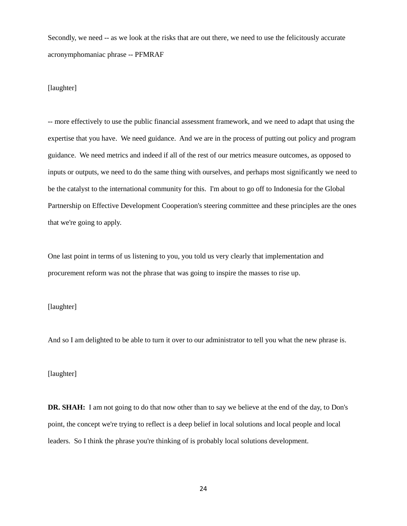Secondly, we need -- as we look at the risks that are out there, we need to use the felicitously accurate acronymphomaniac phrase -- PFMRAF

# [laughter]

-- more effectively to use the public financial assessment framework, and we need to adapt that using the expertise that you have. We need guidance. And we are in the process of putting out policy and program guidance. We need metrics and indeed if all of the rest of our metrics measure outcomes, as opposed to inputs or outputs, we need to do the same thing with ourselves, and perhaps most significantly we need to be the catalyst to the international community for this. I'm about to go off to Indonesia for the Global Partnership on Effective Development Cooperation's steering committee and these principles are the ones that we're going to apply.

One last point in terms of us listening to you, you told us very clearly that implementation and procurement reform was not the phrase that was going to inspire the masses to rise up.

# [laughter]

And so I am delighted to be able to turn it over to our administrator to tell you what the new phrase is.

## [laughter]

**DR. SHAH:** I am not going to do that now other than to say we believe at the end of the day, to Don's point, the concept we're trying to reflect is a deep belief in local solutions and local people and local leaders. So I think the phrase you're thinking of is probably local solutions development.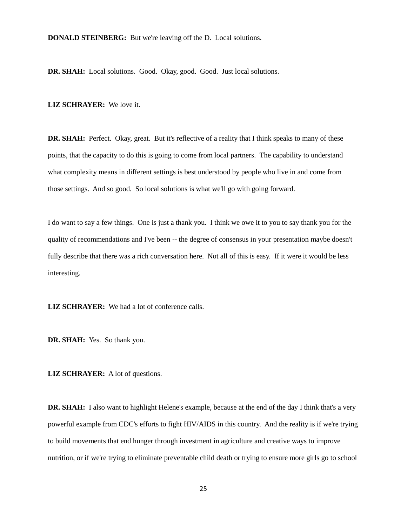**DONALD STEINBERG:** But we're leaving off the D. Local solutions.

**DR. SHAH:** Local solutions. Good. Okay, good. Good. Just local solutions.

#### **LIZ SCHRAYER:** We love it.

**DR. SHAH:** Perfect. Okay, great. But it's reflective of a reality that I think speaks to many of these points, that the capacity to do this is going to come from local partners. The capability to understand what complexity means in different settings is best understood by people who live in and come from those settings. And so good. So local solutions is what we'll go with going forward.

I do want to say a few things. One is just a thank you. I think we owe it to you to say thank you for the quality of recommendations and I've been -- the degree of consensus in your presentation maybe doesn't fully describe that there was a rich conversation here. Not all of this is easy. If it were it would be less interesting.

**LIZ SCHRAYER:** We had a lot of conference calls.

**DR. SHAH:** Yes. So thank you.

**LIZ SCHRAYER:** A lot of questions.

**DR. SHAH:** I also want to highlight Helene's example, because at the end of the day I think that's a very powerful example from CDC's efforts to fight HIV/AIDS in this country. And the reality is if we're trying to build movements that end hunger through investment in agriculture and creative ways to improve nutrition, or if we're trying to eliminate preventable child death or trying to ensure more girls go to school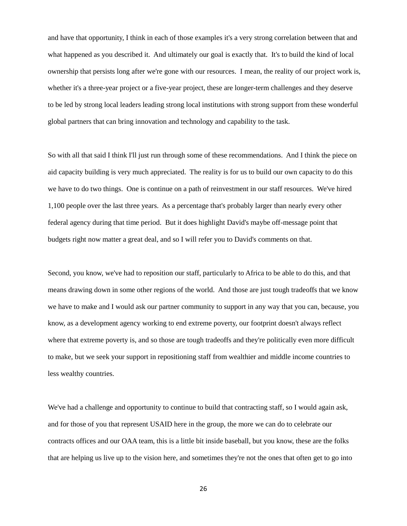and have that opportunity, I think in each of those examples it's a very strong correlation between that and what happened as you described it. And ultimately our goal is exactly that. It's to build the kind of local ownership that persists long after we're gone with our resources. I mean, the reality of our project work is, whether it's a three-year project or a five-year project, these are longer-term challenges and they deserve to be led by strong local leaders leading strong local institutions with strong support from these wonderful global partners that can bring innovation and technology and capability to the task.

So with all that said I think I'll just run through some of these recommendations. And I think the piece on aid capacity building is very much appreciated. The reality is for us to build our own capacity to do this we have to do two things. One is continue on a path of reinvestment in our staff resources. We've hired 1,100 people over the last three years. As a percentage that's probably larger than nearly every other federal agency during that time period. But it does highlight David's maybe off-message point that budgets right now matter a great deal, and so I will refer you to David's comments on that.

Second, you know, we've had to reposition our staff, particularly to Africa to be able to do this, and that means drawing down in some other regions of the world. And those are just tough tradeoffs that we know we have to make and I would ask our partner community to support in any way that you can, because, you know, as a development agency working to end extreme poverty, our footprint doesn't always reflect where that extreme poverty is, and so those are tough tradeoffs and they're politically even more difficult to make, but we seek your support in repositioning staff from wealthier and middle income countries to less wealthy countries.

We've had a challenge and opportunity to continue to build that contracting staff, so I would again ask, and for those of you that represent USAID here in the group, the more we can do to celebrate our contracts offices and our OAA team, this is a little bit inside baseball, but you know, these are the folks that are helping us live up to the vision here, and sometimes they're not the ones that often get to go into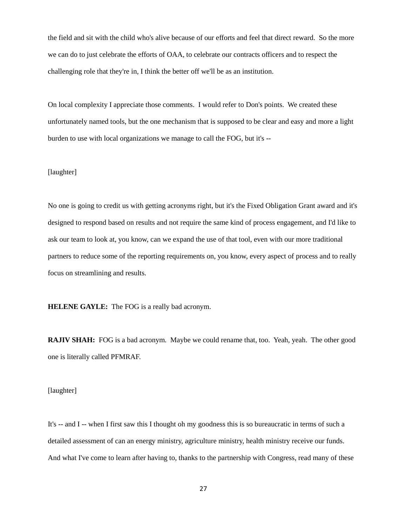the field and sit with the child who's alive because of our efforts and feel that direct reward. So the more we can do to just celebrate the efforts of OAA, to celebrate our contracts officers and to respect the challenging role that they're in, I think the better off we'll be as an institution.

On local complexity I appreciate those comments. I would refer to Don's points. We created these unfortunately named tools, but the one mechanism that is supposed to be clear and easy and more a light burden to use with local organizations we manage to call the FOG, but it's --

# [laughter]

No one is going to credit us with getting acronyms right, but it's the Fixed Obligation Grant award and it's designed to respond based on results and not require the same kind of process engagement, and I'd like to ask our team to look at, you know, can we expand the use of that tool, even with our more traditional partners to reduce some of the reporting requirements on, you know, every aspect of process and to really focus on streamlining and results.

**HELENE GAYLE:** The FOG is a really bad acronym.

**RAJIV SHAH:** FOG is a bad acronym. Maybe we could rename that, too. Yeah, yeah. The other good one is literally called PFMRAF.

# [laughter]

It's -- and I -- when I first saw this I thought oh my goodness this is so bureaucratic in terms of such a detailed assessment of can an energy ministry, agriculture ministry, health ministry receive our funds. And what I've come to learn after having to, thanks to the partnership with Congress, read many of these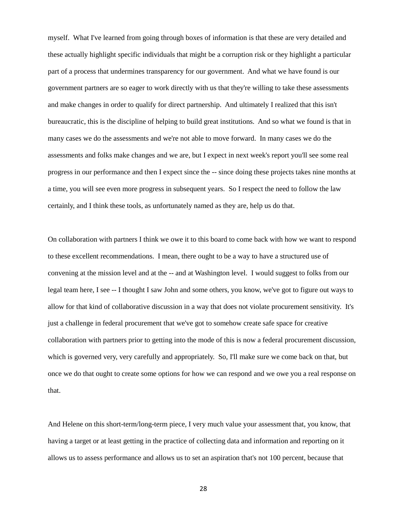myself. What I've learned from going through boxes of information is that these are very detailed and these actually highlight specific individuals that might be a corruption risk or they highlight a particular part of a process that undermines transparency for our government. And what we have found is our government partners are so eager to work directly with us that they're willing to take these assessments and make changes in order to qualify for direct partnership. And ultimately I realized that this isn't bureaucratic, this is the discipline of helping to build great institutions. And so what we found is that in many cases we do the assessments and we're not able to move forward. In many cases we do the assessments and folks make changes and we are, but I expect in next week's report you'll see some real progress in our performance and then I expect since the -- since doing these projects takes nine months at a time, you will see even more progress in subsequent years. So I respect the need to follow the law certainly, and I think these tools, as unfortunately named as they are, help us do that.

On collaboration with partners I think we owe it to this board to come back with how we want to respond to these excellent recommendations. I mean, there ought to be a way to have a structured use of convening at the mission level and at the -- and at Washington level. I would suggest to folks from our legal team here, I see -- I thought I saw John and some others, you know, we've got to figure out ways to allow for that kind of collaborative discussion in a way that does not violate procurement sensitivity. It's just a challenge in federal procurement that we've got to somehow create safe space for creative collaboration with partners prior to getting into the mode of this is now a federal procurement discussion, which is governed very, very carefully and appropriately. So, I'll make sure we come back on that, but once we do that ought to create some options for how we can respond and we owe you a real response on that.

And Helene on this short-term/long-term piece, I very much value your assessment that, you know, that having a target or at least getting in the practice of collecting data and information and reporting on it allows us to assess performance and allows us to set an aspiration that's not 100 percent, because that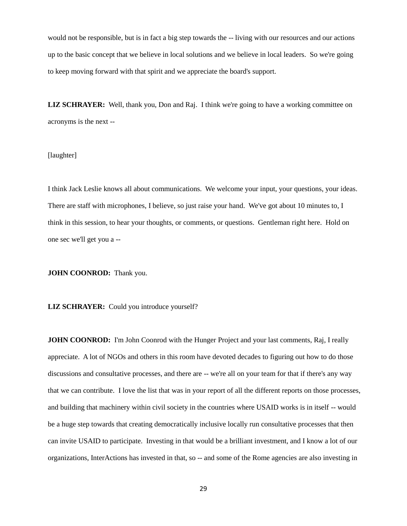would not be responsible, but is in fact a big step towards the -- living with our resources and our actions up to the basic concept that we believe in local solutions and we believe in local leaders. So we're going to keep moving forward with that spirit and we appreciate the board's support.

**LIZ SCHRAYER:** Well, thank you, Don and Raj. I think we're going to have a working committee on acronyms is the next --

# [laughter]

I think Jack Leslie knows all about communications. We welcome your input, your questions, your ideas. There are staff with microphones, I believe, so just raise your hand. We've got about 10 minutes to, I think in this session, to hear your thoughts, or comments, or questions. Gentleman right here. Hold on one sec we'll get you a --

**JOHN COONROD:** Thank you.

**LIZ SCHRAYER:** Could you introduce yourself?

**JOHN COONROD:** I'm John Coonrod with the Hunger Project and your last comments, Raj, I really appreciate. A lot of NGOs and others in this room have devoted decades to figuring out how to do those discussions and consultative processes, and there are -- we're all on your team for that if there's any way that we can contribute. I love the list that was in your report of all the different reports on those processes, and building that machinery within civil society in the countries where USAID works is in itself -- would be a huge step towards that creating democratically inclusive locally run consultative processes that then can invite USAID to participate. Investing in that would be a brilliant investment, and I know a lot of our organizations, InterActions has invested in that, so -- and some of the Rome agencies are also investing in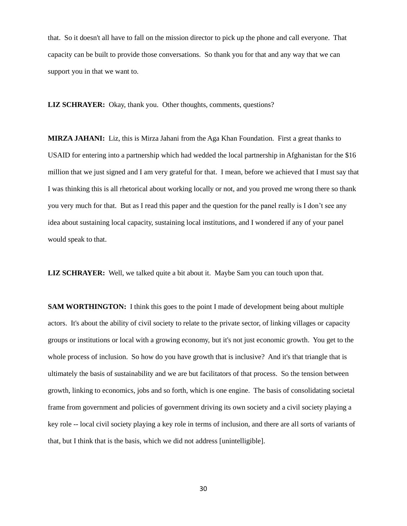that. So it doesn't all have to fall on the mission director to pick up the phone and call everyone. That capacity can be built to provide those conversations. So thank you for that and any way that we can support you in that we want to.

**LIZ SCHRAYER:** Okay, thank you. Other thoughts, comments, questions?

**MIRZA JAHANI:** Liz, this is Mirza Jahani from the Aga Khan Foundation. First a great thanks to USAID for entering into a partnership which had wedded the local partnership in Afghanistan for the \$16 million that we just signed and I am very grateful for that. I mean, before we achieved that I must say that I was thinking this is all rhetorical about working locally or not, and you proved me wrong there so thank you very much for that. But as I read this paper and the question for the panel really is I don't see any idea about sustaining local capacity, sustaining local institutions, and I wondered if any of your panel would speak to that.

**LIZ SCHRAYER:** Well, we talked quite a bit about it. Maybe Sam you can touch upon that.

**SAM WORTHINGTON:** I think this goes to the point I made of development being about multiple actors. It's about the ability of civil society to relate to the private sector, of linking villages or capacity groups or institutions or local with a growing economy, but it's not just economic growth. You get to the whole process of inclusion. So how do you have growth that is inclusive? And it's that triangle that is ultimately the basis of sustainability and we are but facilitators of that process. So the tension between growth, linking to economics, jobs and so forth, which is one engine. The basis of consolidating societal frame from government and policies of government driving its own society and a civil society playing a key role -- local civil society playing a key role in terms of inclusion, and there are all sorts of variants of that, but I think that is the basis, which we did not address [unintelligible].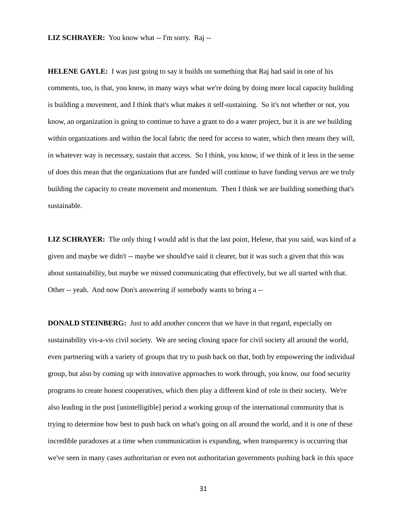**HELENE GAYLE:** I was just going to say it builds on something that Raj had said in one of his comments, too, is that, you know, in many ways what we're doing by doing more local capacity building is building a movement, and I think that's what makes it self-sustaining. So it's not whether or not, you know, an organization is going to continue to have a grant to do a water project, but it is are we building within organizations and within the local fabric the need for access to water, which then means they will, in whatever way is necessary, sustain that access. So I think, you know, if we think of it less in the sense of does this mean that the organizations that are funded will continue to have funding versus are we truly building the capacity to create movement and momentum. Then I think we are building something that's sustainable.

**LIZ SCHRAYER:** The only thing I would add is that the last point, Helene, that you said, was kind of a given and maybe we didn't -- maybe we should've said it clearer, but it was such a given that this was about sustainability, but maybe we missed communicating that effectively, but we all started with that. Other -- yeah. And now Don's answering if somebody wants to bring a --

**DONALD STEINBERG:** Just to add another concern that we have in that regard, especially on sustainability vis-a-vis civil society. We are seeing closing space for civil society all around the world, even partnering with a variety of groups that try to push back on that, both by empowering the individual group, but also by coming up with innovative approaches to work through, you know, our food security programs to create honest cooperatives, which then play a different kind of role in their society. We're also leading in the post [unintelligible] period a working group of the international community that is trying to determine how best to push back on what's going on all around the world, and it is one of these incredible paradoxes at a time when communication is expanding, when transparency is occurring that we've seen in many cases authoritarian or even not authoritarian governments pushing back in this space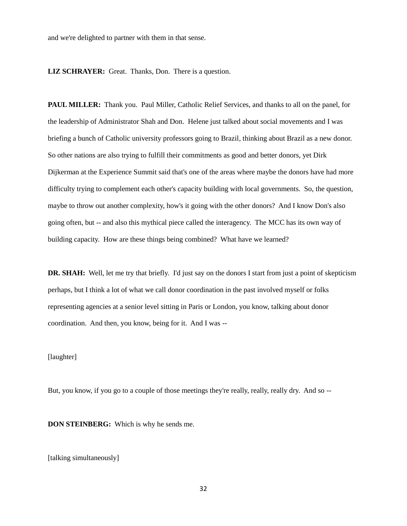and we're delighted to partner with them in that sense.

**LIZ SCHRAYER:** Great. Thanks, Don. There is a question.

**PAUL MILLER:** Thank you. Paul Miller, Catholic Relief Services, and thanks to all on the panel, for the leadership of Administrator Shah and Don. Helene just talked about social movements and I was briefing a bunch of Catholic university professors going to Brazil, thinking about Brazil as a new donor. So other nations are also trying to fulfill their commitments as good and better donors, yet Dirk Dijkerman at the Experience Summit said that's one of the areas where maybe the donors have had more difficulty trying to complement each other's capacity building with local governments. So, the question, maybe to throw out another complexity, how's it going with the other donors? And I know Don's also going often, but -- and also this mythical piece called the interagency. The MCC has its own way of building capacity. How are these things being combined? What have we learned?

**DR. SHAH:** Well, let me try that briefly. I'd just say on the donors I start from just a point of skepticism perhaps, but I think a lot of what we call donor coordination in the past involved myself or folks representing agencies at a senior level sitting in Paris or London, you know, talking about donor coordination. And then, you know, being for it. And I was --

## [laughter]

But, you know, if you go to a couple of those meetings they're really, really, really dry. And so --

**DON STEINBERG:** Which is why he sends me.

[talking simultaneously]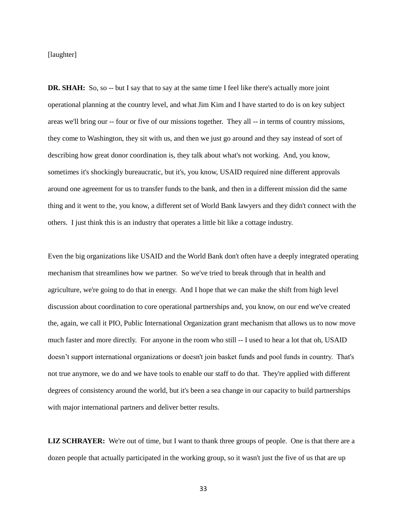[laughter]

**DR. SHAH:** So, so -- but I say that to say at the same time I feel like there's actually more joint operational planning at the country level, and what Jim Kim and I have started to do is on key subject areas we'll bring our -- four or five of our missions together. They all -- in terms of country missions, they come to Washington, they sit with us, and then we just go around and they say instead of sort of describing how great donor coordination is, they talk about what's not working. And, you know, sometimes it's shockingly bureaucratic, but it's, you know, USAID required nine different approvals around one agreement for us to transfer funds to the bank, and then in a different mission did the same thing and it went to the, you know, a different set of World Bank lawyers and they didn't connect with the others. I just think this is an industry that operates a little bit like a cottage industry.

Even the big organizations like USAID and the World Bank don't often have a deeply integrated operating mechanism that streamlines how we partner. So we've tried to break through that in health and agriculture, we're going to do that in energy. And I hope that we can make the shift from high level discussion about coordination to core operational partnerships and, you know, on our end we've created the, again, we call it PIO, Public International Organization grant mechanism that allows us to now move much faster and more directly. For anyone in the room who still -- I used to hear a lot that oh, USAID doesn't support international organizations or doesn't join basket funds and pool funds in country. That's not true anymore, we do and we have tools to enable our staff to do that. They're applied with different degrees of consistency around the world, but it's been a sea change in our capacity to build partnerships with major international partners and deliver better results.

**LIZ SCHRAYER:** We're out of time, but I want to thank three groups of people. One is that there are a dozen people that actually participated in the working group, so it wasn't just the five of us that are up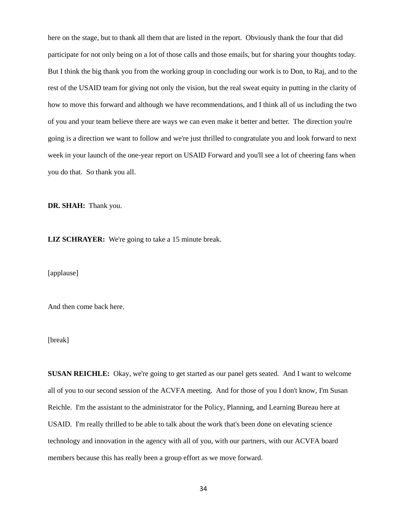here on the stage, but to thank all them that are listed in the report. Obviously thank the four that did participate for not only being on a lot of those calls and those emails, but for sharing your thoughts today. But I think the big thank you from the working group in concluding our work is to Don, to Raj, and to the rest of the USAID team for giving not only the vision, but the real sweat equity in putting in the clarity of how to move this forward and although we have recommendations, and I think all of us including the two of you and your team believe there are ways we can even make it better and better. The direction you're going is a direction we want to follow and we're just thrilled to congratulate you and look forward to next week in your launch of the one-year report on USAID Forward and you'll see a lot of cheering fans when you do that. So thank you all.

**DR. SHAH:** Thank you.

**LIZ SCHRAYER:** We're going to take a 15 minute break.

[applause]

And then come back here.

[break]

**SUSAN REICHLE:** Okay, we're going to get started as our panel gets seated. And I want to welcome all of you to our second session of the ACVFA meeting. And for those of you I don't know, I'm Susan Reichle. I'm the assistant to the administrator for the Policy, Planning, and Learning Bureau here at USAID. I'm really thrilled to be able to talk about the work that's been done on elevating science technology and innovation in the agency with all of you, with our partners, with our ACVFA board members because this has really been a group effort as we move forward.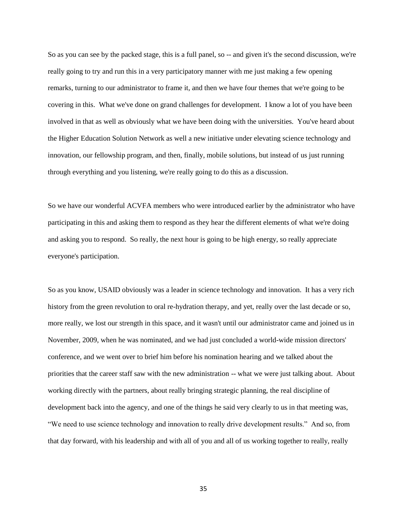So as you can see by the packed stage, this is a full panel, so -- and given it's the second discussion, we're really going to try and run this in a very participatory manner with me just making a few opening remarks, turning to our administrator to frame it, and then we have four themes that we're going to be covering in this. What we've done on grand challenges for development. I know a lot of you have been involved in that as well as obviously what we have been doing with the universities. You've heard about the Higher Education Solution Network as well a new initiative under elevating science technology and innovation, our fellowship program, and then, finally, mobile solutions, but instead of us just running through everything and you listening, we're really going to do this as a discussion.

So we have our wonderful ACVFA members who were introduced earlier by the administrator who have participating in this and asking them to respond as they hear the different elements of what we're doing and asking you to respond. So really, the next hour is going to be high energy, so really appreciate everyone's participation.

So as you know, USAID obviously was a leader in science technology and innovation. It has a very rich history from the green revolution to oral re-hydration therapy, and yet, really over the last decade or so, more really, we lost our strength in this space, and it wasn't until our administrator came and joined us in November, 2009, when he was nominated, and we had just concluded a world-wide mission directors' conference, and we went over to brief him before his nomination hearing and we talked about the priorities that the career staff saw with the new administration -- what we were just talking about. About working directly with the partners, about really bringing strategic planning, the real discipline of development back into the agency, and one of the things he said very clearly to us in that meeting was, "We need to use science technology and innovation to really drive development results." And so, from that day forward, with his leadership and with all of you and all of us working together to really, really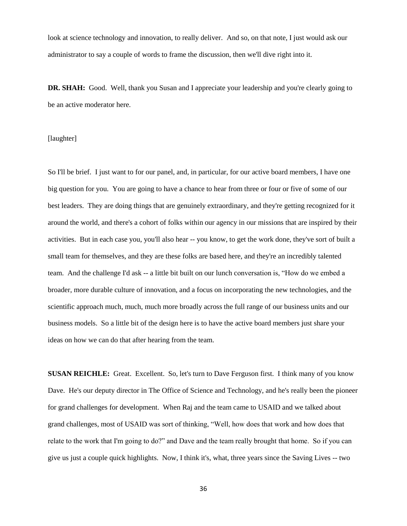look at science technology and innovation, to really deliver. And so, on that note, I just would ask our administrator to say a couple of words to frame the discussion, then we'll dive right into it.

**DR. SHAH:** Good. Well, thank you Susan and I appreciate your leadership and you're clearly going to be an active moderator here.

## [laughter]

So I'll be brief. I just want to for our panel, and, in particular, for our active board members, I have one big question for you. You are going to have a chance to hear from three or four or five of some of our best leaders. They are doing things that are genuinely extraordinary, and they're getting recognized for it around the world, and there's a cohort of folks within our agency in our missions that are inspired by their activities. But in each case you, you'll also hear -- you know, to get the work done, they've sort of built a small team for themselves, and they are these folks are based here, and they're an incredibly talented team. And the challenge I'd ask -- a little bit built on our lunch conversation is, "How do we embed a broader, more durable culture of innovation, and a focus on incorporating the new technologies, and the scientific approach much, much, much more broadly across the full range of our business units and our business models. So a little bit of the design here is to have the active board members just share your ideas on how we can do that after hearing from the team.

**SUSAN REICHLE:** Great. Excellent. So, let's turn to Dave Ferguson first. I think many of you know Dave. He's our deputy director in The Office of Science and Technology, and he's really been the pioneer for grand challenges for development. When Raj and the team came to USAID and we talked about grand challenges, most of USAID was sort of thinking, "Well, how does that work and how does that relate to the work that I'm going to do?" and Dave and the team really brought that home. So if you can give us just a couple quick highlights. Now, I think it's, what, three years since the Saving Lives -- two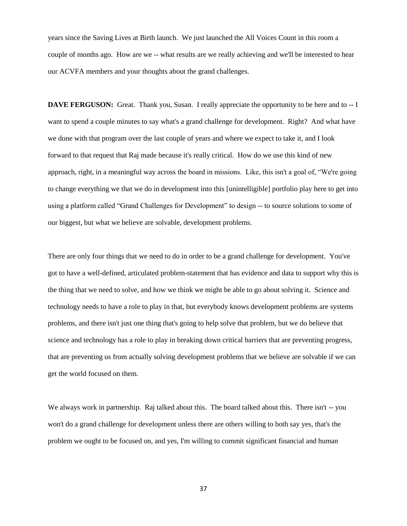years since the Saving Lives at Birth launch. We just launched the All Voices Count in this room a couple of months ago. How are we -- what results are we really achieving and we'll be interested to hear our ACVFA members and your thoughts about the grand challenges.

**DAVE FERGUSON:** Great. Thank you, Susan. I really appreciate the opportunity to be here and to  $-1$ want to spend a couple minutes to say what's a grand challenge for development. Right? And what have we done with that program over the last couple of years and where we expect to take it, and I look forward to that request that Raj made because it's really critical. How do we use this kind of new approach, right, in a meaningful way across the board in missions. Like, this isn't a goal of, "We're going to change everything we that we do in development into this [unintelligible] portfolio play here to get into using a platform called "Grand Challenges for Development" to design -- to source solutions to some of our biggest, but what we believe are solvable, development problems.

There are only four things that we need to do in order to be a grand challenge for development. You've got to have a well-defined, articulated problem-statement that has evidence and data to support why this is the thing that we need to solve, and how we think we might be able to go about solving it. Science and technology needs to have a role to play in that, but everybody knows development problems are systems problems, and there isn't just one thing that's going to help solve that problem, but we do believe that science and technology has a role to play in breaking down critical barriers that are preventing progress, that are preventing us from actually solving development problems that we believe are solvable if we can get the world focused on them.

We always work in partnership. Raj talked about this. The board talked about this. There isn't -- you won't do a grand challenge for development unless there are others willing to both say yes, that's the problem we ought to be focused on, and yes, I'm willing to commit significant financial and human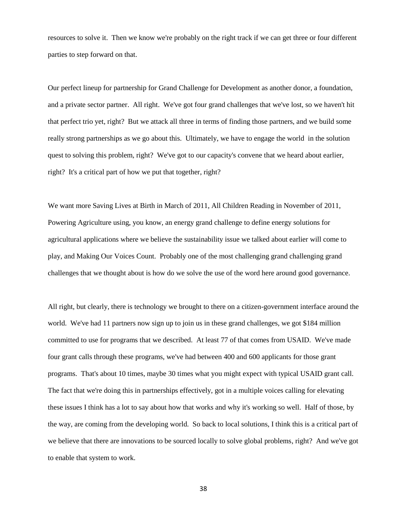resources to solve it. Then we know we're probably on the right track if we can get three or four different parties to step forward on that.

Our perfect lineup for partnership for Grand Challenge for Development as another donor, a foundation, and a private sector partner. All right. We've got four grand challenges that we've lost, so we haven't hit that perfect trio yet, right? But we attack all three in terms of finding those partners, and we build some really strong partnerships as we go about this. Ultimately, we have to engage the world in the solution quest to solving this problem, right? We've got to our capacity's convene that we heard about earlier, right? It's a critical part of how we put that together, right?

We want more Saving Lives at Birth in March of 2011, All Children Reading in November of 2011, Powering Agriculture using, you know, an energy grand challenge to define energy solutions for agricultural applications where we believe the sustainability issue we talked about earlier will come to play, and Making Our Voices Count. Probably one of the most challenging grand challenging grand challenges that we thought about is how do we solve the use of the word here around good governance.

All right, but clearly, there is technology we brought to there on a citizen-government interface around the world. We've had 11 partners now sign up to join us in these grand challenges, we got \$184 million committed to use for programs that we described. At least 77 of that comes from USAID. We've made four grant calls through these programs, we've had between 400 and 600 applicants for those grant programs. That's about 10 times, maybe 30 times what you might expect with typical USAID grant call. The fact that we're doing this in partnerships effectively, got in a multiple voices calling for elevating these issues I think has a lot to say about how that works and why it's working so well. Half of those, by the way, are coming from the developing world. So back to local solutions, I think this is a critical part of we believe that there are innovations to be sourced locally to solve global problems, right? And we've got to enable that system to work.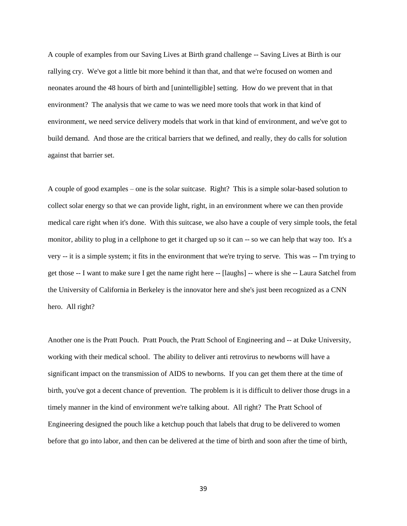A couple of examples from our Saving Lives at Birth grand challenge -- Saving Lives at Birth is our rallying cry. We've got a little bit more behind it than that, and that we're focused on women and neonates around the 48 hours of birth and [unintelligible] setting. How do we prevent that in that environment? The analysis that we came to was we need more tools that work in that kind of environment, we need service delivery models that work in that kind of environment, and we've got to build demand. And those are the critical barriers that we defined, and really, they do calls for solution against that barrier set.

A couple of good examples – one is the solar suitcase. Right? This is a simple solar-based solution to collect solar energy so that we can provide light, right, in an environment where we can then provide medical care right when it's done. With this suitcase, we also have a couple of very simple tools, the fetal monitor, ability to plug in a cellphone to get it charged up so it can -- so we can help that way too. It's a very -- it is a simple system; it fits in the environment that we're trying to serve. This was -- I'm trying to get those -- I want to make sure I get the name right here -- [laughs] -- where is she -- Laura Satchel from the University of California in Berkeley is the innovator here and she's just been recognized as a CNN hero. All right?

Another one is the Pratt Pouch. Pratt Pouch, the Pratt School of Engineering and -- at Duke University, working with their medical school. The ability to deliver anti retrovirus to newborns will have a significant impact on the transmission of AIDS to newborns. If you can get them there at the time of birth, you've got a decent chance of prevention. The problem is it is difficult to deliver those drugs in a timely manner in the kind of environment we're talking about. All right? The Pratt School of Engineering designed the pouch like a ketchup pouch that labels that drug to be delivered to women before that go into labor, and then can be delivered at the time of birth and soon after the time of birth,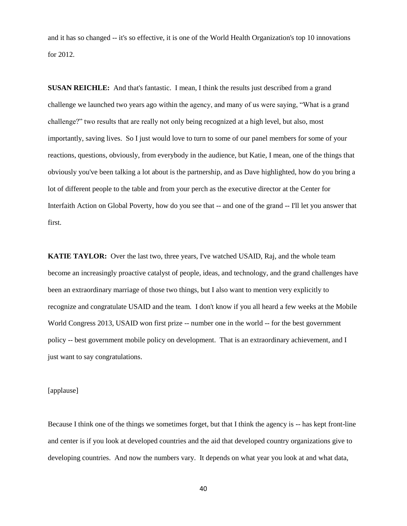and it has so changed -- it's so effective, it is one of the World Health Organization's top 10 innovations for 2012.

**SUSAN REICHLE:** And that's fantastic. I mean, I think the results just described from a grand challenge we launched two years ago within the agency, and many of us were saying, "What is a grand challenge?" two results that are really not only being recognized at a high level, but also, most importantly, saving lives. So I just would love to turn to some of our panel members for some of your reactions, questions, obviously, from everybody in the audience, but Katie, I mean, one of the things that obviously you've been talking a lot about is the partnership, and as Dave highlighted, how do you bring a lot of different people to the table and from your perch as the executive director at the Center for Interfaith Action on Global Poverty, how do you see that -- and one of the grand -- I'll let you answer that first.

**KATIE TAYLOR:** Over the last two, three years, I've watched USAID, Raj, and the whole team become an increasingly proactive catalyst of people, ideas, and technology, and the grand challenges have been an extraordinary marriage of those two things, but I also want to mention very explicitly to recognize and congratulate USAID and the team. I don't know if you all heard a few weeks at the Mobile World Congress 2013, USAID won first prize -- number one in the world -- for the best government policy -- best government mobile policy on development. That is an extraordinary achievement, and I just want to say congratulations.

[applause]

Because I think one of the things we sometimes forget, but that I think the agency is -- has kept front-line and center is if you look at developed countries and the aid that developed country organizations give to developing countries. And now the numbers vary. It depends on what year you look at and what data,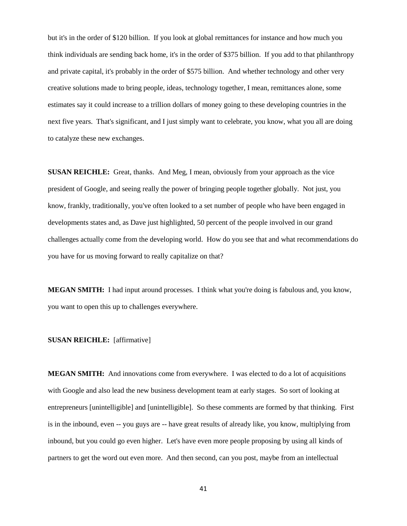but it's in the order of \$120 billion. If you look at global remittances for instance and how much you think individuals are sending back home, it's in the order of \$375 billion. If you add to that philanthropy and private capital, it's probably in the order of \$575 billion. And whether technology and other very creative solutions made to bring people, ideas, technology together, I mean, remittances alone, some estimates say it could increase to a trillion dollars of money going to these developing countries in the next five years. That's significant, and I just simply want to celebrate, you know, what you all are doing to catalyze these new exchanges.

**SUSAN REICHLE:** Great, thanks. And Meg, I mean, obviously from your approach as the vice president of Google, and seeing really the power of bringing people together globally. Not just, you know, frankly, traditionally, you've often looked to a set number of people who have been engaged in developments states and, as Dave just highlighted, 50 percent of the people involved in our grand challenges actually come from the developing world. How do you see that and what recommendations do you have for us moving forward to really capitalize on that?

**MEGAN SMITH:** I had input around processes. I think what you're doing is fabulous and, you know, you want to open this up to challenges everywhere.

## **SUSAN REICHLE:** [affirmative]

**MEGAN SMITH:** And innovations come from everywhere. I was elected to do a lot of acquisitions with Google and also lead the new business development team at early stages. So sort of looking at entrepreneurs [unintelligible] and [unintelligible]. So these comments are formed by that thinking. First is in the inbound, even -- you guys are -- have great results of already like, you know, multiplying from inbound, but you could go even higher. Let's have even more people proposing by using all kinds of partners to get the word out even more. And then second, can you post, maybe from an intellectual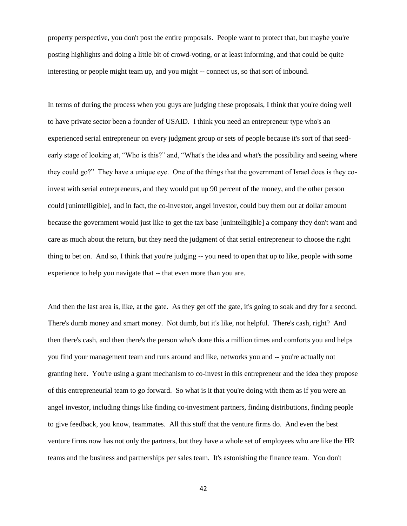property perspective, you don't post the entire proposals. People want to protect that, but maybe you're posting highlights and doing a little bit of crowd-voting, or at least informing, and that could be quite interesting or people might team up, and you might -- connect us, so that sort of inbound.

In terms of during the process when you guys are judging these proposals, I think that you're doing well to have private sector been a founder of USAID. I think you need an entrepreneur type who's an experienced serial entrepreneur on every judgment group or sets of people because it's sort of that seedearly stage of looking at, "Who is this?" and, "What's the idea and what's the possibility and seeing where they could go?" They have a unique eye. One of the things that the government of Israel does is they coinvest with serial entrepreneurs, and they would put up 90 percent of the money, and the other person could [unintelligible], and in fact, the co-investor, angel investor, could buy them out at dollar amount because the government would just like to get the tax base [unintelligible] a company they don't want and care as much about the return, but they need the judgment of that serial entrepreneur to choose the right thing to bet on. And so, I think that you're judging -- you need to open that up to like, people with some experience to help you navigate that -- that even more than you are.

And then the last area is, like, at the gate. As they get off the gate, it's going to soak and dry for a second. There's dumb money and smart money. Not dumb, but it's like, not helpful. There's cash, right? And then there's cash, and then there's the person who's done this a million times and comforts you and helps you find your management team and runs around and like, networks you and -- you're actually not granting here. You're using a grant mechanism to co-invest in this entrepreneur and the idea they propose of this entrepreneurial team to go forward. So what is it that you're doing with them as if you were an angel investor, including things like finding co-investment partners, finding distributions, finding people to give feedback, you know, teammates. All this stuff that the venture firms do. And even the best venture firms now has not only the partners, but they have a whole set of employees who are like the HR teams and the business and partnerships per sales team. It's astonishing the finance team. You don't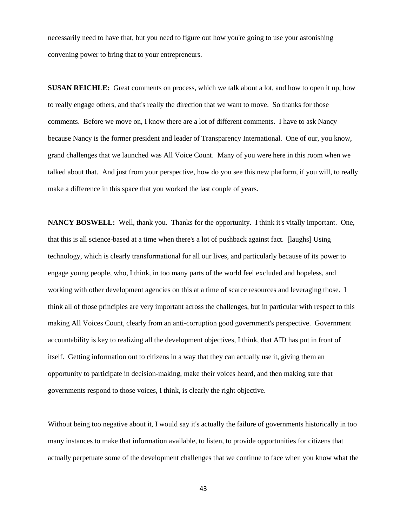necessarily need to have that, but you need to figure out how you're going to use your astonishing convening power to bring that to your entrepreneurs.

**SUSAN REICHLE:** Great comments on process, which we talk about a lot, and how to open it up, how to really engage others, and that's really the direction that we want to move. So thanks for those comments. Before we move on, I know there are a lot of different comments. I have to ask Nancy because Nancy is the former president and leader of Transparency International. One of our, you know, grand challenges that we launched was All Voice Count. Many of you were here in this room when we talked about that. And just from your perspective, how do you see this new platform, if you will, to really make a difference in this space that you worked the last couple of years.

**NANCY BOSWELL:** Well, thank you. Thanks for the opportunity. I think it's vitally important. One, that this is all science-based at a time when there's a lot of pushback against fact. [laughs] Using technology, which is clearly transformational for all our lives, and particularly because of its power to engage young people, who, I think, in too many parts of the world feel excluded and hopeless, and working with other development agencies on this at a time of scarce resources and leveraging those. I think all of those principles are very important across the challenges, but in particular with respect to this making All Voices Count, clearly from an anti-corruption good government's perspective. Government accountability is key to realizing all the development objectives, I think, that AID has put in front of itself. Getting information out to citizens in a way that they can actually use it, giving them an opportunity to participate in decision-making, make their voices heard, and then making sure that governments respond to those voices, I think, is clearly the right objective.

Without being too negative about it, I would say it's actually the failure of governments historically in too many instances to make that information available, to listen, to provide opportunities for citizens that actually perpetuate some of the development challenges that we continue to face when you know what the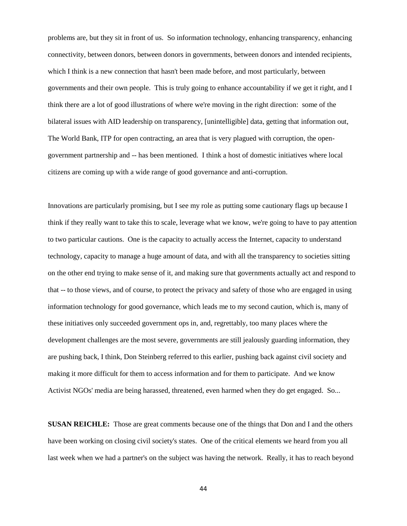problems are, but they sit in front of us. So information technology, enhancing transparency, enhancing connectivity, between donors, between donors in governments, between donors and intended recipients, which I think is a new connection that hasn't been made before, and most particularly, between governments and their own people. This is truly going to enhance accountability if we get it right, and I think there are a lot of good illustrations of where we're moving in the right direction: some of the bilateral issues with AID leadership on transparency, [unintelligible] data, getting that information out, The World Bank, ITP for open contracting, an area that is very plagued with corruption, the opengovernment partnership and -- has been mentioned. I think a host of domestic initiatives where local citizens are coming up with a wide range of good governance and anti-corruption.

Innovations are particularly promising, but I see my role as putting some cautionary flags up because I think if they really want to take this to scale, leverage what we know, we're going to have to pay attention to two particular cautions. One is the capacity to actually access the Internet, capacity to understand technology, capacity to manage a huge amount of data, and with all the transparency to societies sitting on the other end trying to make sense of it, and making sure that governments actually act and respond to that -- to those views, and of course, to protect the privacy and safety of those who are engaged in using information technology for good governance, which leads me to my second caution, which is, many of these initiatives only succeeded government ops in, and, regrettably, too many places where the development challenges are the most severe, governments are still jealously guarding information, they are pushing back, I think, Don Steinberg referred to this earlier, pushing back against civil society and making it more difficult for them to access information and for them to participate. And we know Activist NGOs' media are being harassed, threatened, even harmed when they do get engaged. So...

**SUSAN REICHLE:** Those are great comments because one of the things that Don and I and the others have been working on closing civil society's states. One of the critical elements we heard from you all last week when we had a partner's on the subject was having the network. Really, it has to reach beyond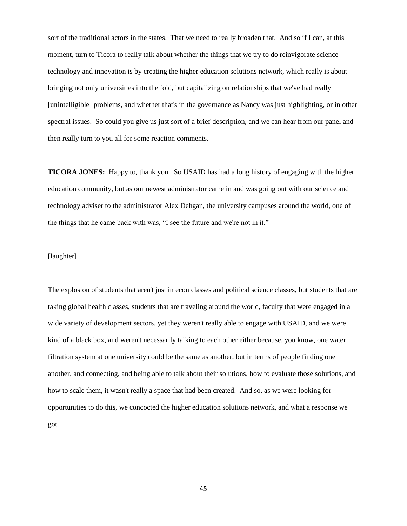sort of the traditional actors in the states. That we need to really broaden that. And so if I can, at this moment, turn to Ticora to really talk about whether the things that we try to do reinvigorate sciencetechnology and innovation is by creating the higher education solutions network, which really is about bringing not only universities into the fold, but capitalizing on relationships that we've had really [unintelligible] problems, and whether that's in the governance as Nancy was just highlighting, or in other spectral issues. So could you give us just sort of a brief description, and we can hear from our panel and then really turn to you all for some reaction comments.

**TICORA JONES:** Happy to, thank you. So USAID has had a long history of engaging with the higher education community, but as our newest administrator came in and was going out with our science and technology adviser to the administrator Alex Dehgan, the university campuses around the world, one of the things that he came back with was, "I see the future and we're not in it."

# [laughter]

The explosion of students that aren't just in econ classes and political science classes, but students that are taking global health classes, students that are traveling around the world, faculty that were engaged in a wide variety of development sectors, yet they weren't really able to engage with USAID, and we were kind of a black box, and weren't necessarily talking to each other either because, you know, one water filtration system at one university could be the same as another, but in terms of people finding one another, and connecting, and being able to talk about their solutions, how to evaluate those solutions, and how to scale them, it wasn't really a space that had been created. And so, as we were looking for opportunities to do this, we concocted the higher education solutions network, and what a response we got.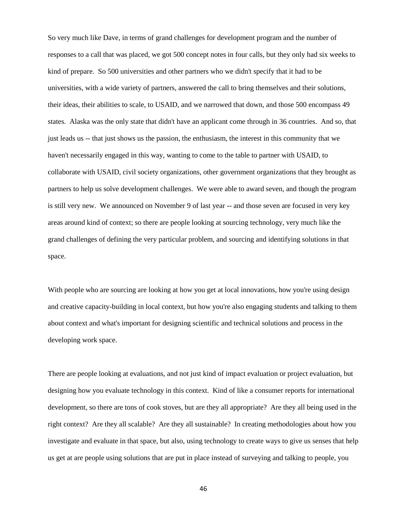So very much like Dave, in terms of grand challenges for development program and the number of responses to a call that was placed, we got 500 concept notes in four calls, but they only had six weeks to kind of prepare. So 500 universities and other partners who we didn't specify that it had to be universities, with a wide variety of partners, answered the call to bring themselves and their solutions, their ideas, their abilities to scale, to USAID, and we narrowed that down, and those 500 encompass 49 states. Alaska was the only state that didn't have an applicant come through in 36 countries. And so, that just leads us -- that just shows us the passion, the enthusiasm, the interest in this community that we haven't necessarily engaged in this way, wanting to come to the table to partner with USAID, to collaborate with USAID, civil society organizations, other government organizations that they brought as partners to help us solve development challenges. We were able to award seven, and though the program is still very new. We announced on November 9 of last year -- and those seven are focused in very key areas around kind of context; so there are people looking at sourcing technology, very much like the grand challenges of defining the very particular problem, and sourcing and identifying solutions in that space.

With people who are sourcing are looking at how you get at local innovations, how you're using design and creative capacity-building in local context, but how you're also engaging students and talking to them about context and what's important for designing scientific and technical solutions and process in the developing work space.

There are people looking at evaluations, and not just kind of impact evaluation or project evaluation, but designing how you evaluate technology in this context. Kind of like a consumer reports for international development, so there are tons of cook stoves, but are they all appropriate? Are they all being used in the right context? Are they all scalable? Are they all sustainable? In creating methodologies about how you investigate and evaluate in that space, but also, using technology to create ways to give us senses that help us get at are people using solutions that are put in place instead of surveying and talking to people, you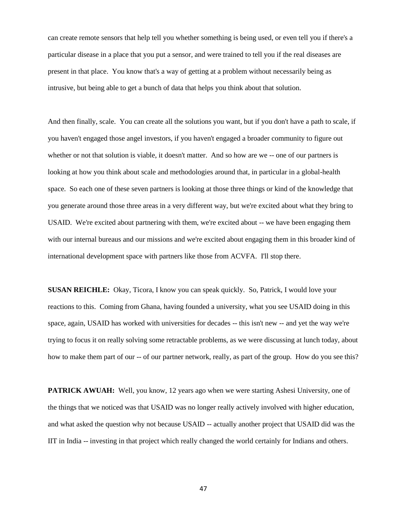can create remote sensors that help tell you whether something is being used, or even tell you if there's a particular disease in a place that you put a sensor, and were trained to tell you if the real diseases are present in that place. You know that's a way of getting at a problem without necessarily being as intrusive, but being able to get a bunch of data that helps you think about that solution.

And then finally, scale. You can create all the solutions you want, but if you don't have a path to scale, if you haven't engaged those angel investors, if you haven't engaged a broader community to figure out whether or not that solution is viable, it doesn't matter. And so how are we -- one of our partners is looking at how you think about scale and methodologies around that, in particular in a global-health space. So each one of these seven partners is looking at those three things or kind of the knowledge that you generate around those three areas in a very different way, but we're excited about what they bring to USAID. We're excited about partnering with them, we're excited about -- we have been engaging them with our internal bureaus and our missions and we're excited about engaging them in this broader kind of international development space with partners like those from ACVFA. I'll stop there.

**SUSAN REICHLE:** Okay, Ticora, I know you can speak quickly. So, Patrick, I would love your reactions to this. Coming from Ghana, having founded a university, what you see USAID doing in this space, again, USAID has worked with universities for decades -- this isn't new -- and yet the way we're trying to focus it on really solving some retractable problems, as we were discussing at lunch today, about how to make them part of our -- of our partner network, really, as part of the group. How do you see this?

**PATRICK AWUAH:** Well, you know, 12 years ago when we were starting Ashesi University, one of the things that we noticed was that USAID was no longer really actively involved with higher education, and what asked the question why not because USAID -- actually another project that USAID did was the IIT in India -- investing in that project which really changed the world certainly for Indians and others.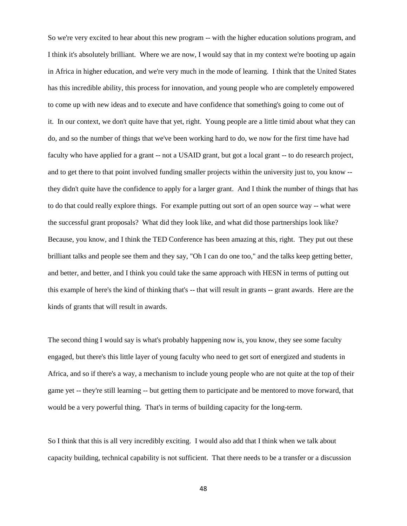So we're very excited to hear about this new program -- with the higher education solutions program, and I think it's absolutely brilliant. Where we are now, I would say that in my context we're booting up again in Africa in higher education, and we're very much in the mode of learning. I think that the United States has this incredible ability, this process for innovation, and young people who are completely empowered to come up with new ideas and to execute and have confidence that something's going to come out of it. In our context, we don't quite have that yet, right. Young people are a little timid about what they can do, and so the number of things that we've been working hard to do, we now for the first time have had faculty who have applied for a grant -- not a USAID grant, but got a local grant -- to do research project, and to get there to that point involved funding smaller projects within the university just to, you know - they didn't quite have the confidence to apply for a larger grant. And I think the number of things that has to do that could really explore things. For example putting out sort of an open source way -- what were the successful grant proposals? What did they look like, and what did those partnerships look like? Because, you know, and I think the TED Conference has been amazing at this, right. They put out these brilliant talks and people see them and they say, "Oh I can do one too," and the talks keep getting better, and better, and better, and I think you could take the same approach with HESN in terms of putting out this example of here's the kind of thinking that's -- that will result in grants -- grant awards. Here are the kinds of grants that will result in awards.

The second thing I would say is what's probably happening now is, you know, they see some faculty engaged, but there's this little layer of young faculty who need to get sort of energized and students in Africa, and so if there's a way, a mechanism to include young people who are not quite at the top of their game yet -- they're still learning -- but getting them to participate and be mentored to move forward, that would be a very powerful thing. That's in terms of building capacity for the long-term.

So I think that this is all very incredibly exciting. I would also add that I think when we talk about capacity building, technical capability is not sufficient. That there needs to be a transfer or a discussion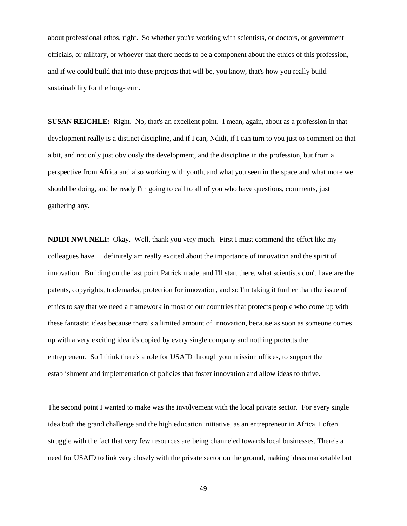about professional ethos, right. So whether you're working with scientists, or doctors, or government officials, or military, or whoever that there needs to be a component about the ethics of this profession, and if we could build that into these projects that will be, you know, that's how you really build sustainability for the long-term.

**SUSAN REICHLE:** Right. No, that's an excellent point. I mean, again, about as a profession in that development really is a distinct discipline, and if I can, Ndidi, if I can turn to you just to comment on that a bit, and not only just obviously the development, and the discipline in the profession, but from a perspective from Africa and also working with youth, and what you seen in the space and what more we should be doing, and be ready I'm going to call to all of you who have questions, comments, just gathering any.

**NDIDI NWUNELI:** Okay. Well, thank you very much. First I must commend the effort like my colleagues have. I definitely am really excited about the importance of innovation and the spirit of innovation. Building on the last point Patrick made, and I'll start there, what scientists don't have are the patents, copyrights, trademarks, protection for innovation, and so I'm taking it further than the issue of ethics to say that we need a framework in most of our countries that protects people who come up with these fantastic ideas because there's a limited amount of innovation, because as soon as someone comes up with a very exciting idea it's copied by every single company and nothing protects the entrepreneur. So I think there's a role for USAID through your mission offices, to support the establishment and implementation of policies that foster innovation and allow ideas to thrive.

The second point I wanted to make was the involvement with the local private sector. For every single idea both the grand challenge and the high education initiative, as an entrepreneur in Africa, I often struggle with the fact that very few resources are being channeled towards local businesses. There's a need for USAID to link very closely with the private sector on the ground, making ideas marketable but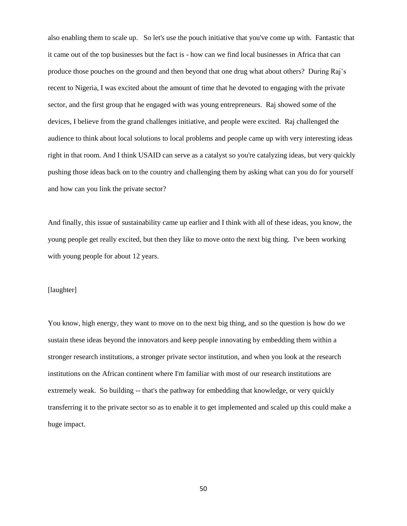also enabling them to scale up. So let's use the pouch initiative that you've come up with. Fantastic that it came out of the top businesses but the fact is - how can we find local businesses in Africa that can produce those pouches on the ground and then beyond that one drug what about others? During Raj's recent to Nigeria, I was excited about the amount of time that he devoted to engaging with the private sector, and the first group that he engaged with was young entrepreneurs. Raj showed some of the devices, I believe from the grand challenges initiative, and people were excited. Raj challenged the audience to think about local solutions to local problems and people came up with very interesting ideas right in that room. And I think USAID can serve as a catalyst so you're catalyzing ideas, but very quickly pushing those ideas back on to the country and challenging them by asking what can you do for yourself and how can you link the private sector?

And finally, this issue of sustainability came up earlier and I think with all of these ideas, you know, the young people get really excited, but then they like to move onto the next big thing. I've been working with young people for about 12 years.

## [laughter]

You know, high energy, they want to move on to the next big thing, and so the question is how do we sustain these ideas beyond the innovators and keep people innovating by embedding them within a stronger research institutions, a stronger private sector institution, and when you look at the research institutions on the African continent where I'm familiar with most of our research institutions are extremely weak. So building -- that's the pathway for embedding that knowledge, or very quickly transferring it to the private sector so as to enable it to get implemented and scaled up this could make a huge impact.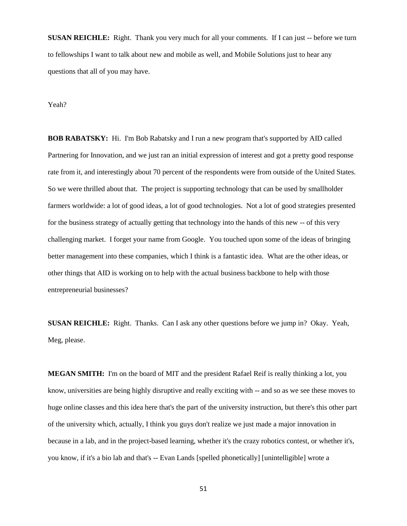**SUSAN REICHLE:** Right. Thank you very much for all your comments. If I can just -- before we turn to fellowships I want to talk about new and mobile as well, and Mobile Solutions just to hear any questions that all of you may have.

Yeah?

**BOB RABATSKY:** Hi. I'm Bob Rabatsky and I run a new program that's supported by AID called Partnering for Innovation, and we just ran an initial expression of interest and got a pretty good response rate from it, and interestingly about 70 percent of the respondents were from outside of the United States. So we were thrilled about that. The project is supporting technology that can be used by smallholder farmers worldwide: a lot of good ideas, a lot of good technologies. Not a lot of good strategies presented for the business strategy of actually getting that technology into the hands of this new -- of this very challenging market. I forget your name from Google. You touched upon some of the ideas of bringing better management into these companies, which I think is a fantastic idea. What are the other ideas, or other things that AID is working on to help with the actual business backbone to help with those entrepreneurial businesses?

**SUSAN REICHLE:** Right. Thanks. Can I ask any other questions before we jump in? Okay. Yeah, Meg, please.

**MEGAN SMITH:** I'm on the board of MIT and the president Rafael Reif is really thinking a lot, you know, universities are being highly disruptive and really exciting with -- and so as we see these moves to huge online classes and this idea here that's the part of the university instruction, but there's this other part of the university which, actually, I think you guys don't realize we just made a major innovation in because in a lab, and in the project-based learning, whether it's the crazy robotics contest, or whether it's, you know, if it's a bio lab and that's -- Evan Lands [spelled phonetically] [unintelligible] wrote a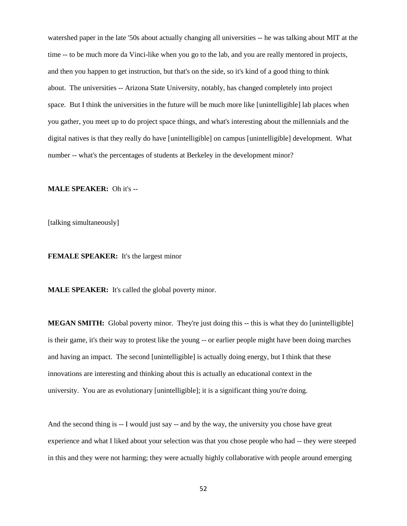watershed paper in the late '50s about actually changing all universities -- he was talking about MIT at the time -- to be much more da Vinci-like when you go to the lab, and you are really mentored in projects, and then you happen to get instruction, but that's on the side, so it's kind of a good thing to think about. The universities -- Arizona State University, notably, has changed completely into project space. But I think the universities in the future will be much more like [unintelligible] lab places when you gather, you meet up to do project space things, and what's interesting about the millennials and the digital natives is that they really do have [unintelligible] on campus [unintelligible] development. What number -- what's the percentages of students at Berkeley in the development minor?

**MALE SPEAKER:** Oh it's --

[talking simultaneously]

**FEMALE SPEAKER:** It's the largest minor

**MALE SPEAKER:** It's called the global poverty minor.

**MEGAN SMITH:** Global poverty minor. They're just doing this -- this is what they do [unintelligible] is their game, it's their way to protest like the young -- or earlier people might have been doing marches and having an impact. The second [unintelligible] is actually doing energy, but I think that these innovations are interesting and thinking about this is actually an educational context in the university. You are as evolutionary [unintelligible]; it is a significant thing you're doing.

And the second thing is -- I would just say -- and by the way, the university you chose have great experience and what I liked about your selection was that you chose people who had -- they were steeped in this and they were not harming; they were actually highly collaborative with people around emerging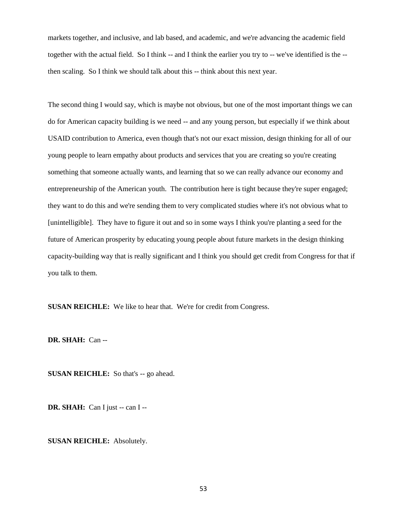markets together, and inclusive, and lab based, and academic, and we're advancing the academic field together with the actual field. So I think -- and I think the earlier you try to -- we've identified is the - then scaling. So I think we should talk about this -- think about this next year.

The second thing I would say, which is maybe not obvious, but one of the most important things we can do for American capacity building is we need -- and any young person, but especially if we think about USAID contribution to America, even though that's not our exact mission, design thinking for all of our young people to learn empathy about products and services that you are creating so you're creating something that someone actually wants, and learning that so we can really advance our economy and entrepreneurship of the American youth. The contribution here is tight because they're super engaged; they want to do this and we're sending them to very complicated studies where it's not obvious what to [unintelligible]. They have to figure it out and so in some ways I think you're planting a seed for the future of American prosperity by educating young people about future markets in the design thinking capacity-building way that is really significant and I think you should get credit from Congress for that if you talk to them.

**SUSAN REICHLE:** We like to hear that. We're for credit from Congress.

**DR. SHAH:** Can --

**SUSAN REICHLE:** So that's -- go ahead.

**DR. SHAH:** Can I just -- can I --

**SUSAN REICHLE:** Absolutely.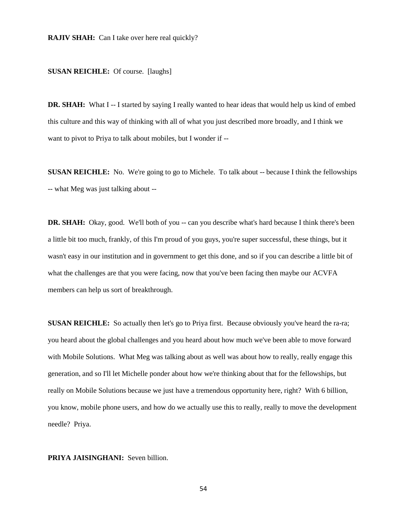### **SUSAN REICHLE:** Of course. [laughs]

**DR. SHAH:** What I -- I started by saying I really wanted to hear ideas that would help us kind of embed this culture and this way of thinking with all of what you just described more broadly, and I think we want to pivot to Priya to talk about mobiles, but I wonder if --

**SUSAN REICHLE:** No. We're going to go to Michele. To talk about -- because I think the fellowships -- what Meg was just talking about --

**DR. SHAH:** Okay, good. We'll both of you -- can you describe what's hard because I think there's been a little bit too much, frankly, of this I'm proud of you guys, you're super successful, these things, but it wasn't easy in our institution and in government to get this done, and so if you can describe a little bit of what the challenges are that you were facing, now that you've been facing then maybe our ACVFA members can help us sort of breakthrough.

**SUSAN REICHLE:** So actually then let's go to Priya first. Because obviously you've heard the ra-ra; you heard about the global challenges and you heard about how much we've been able to move forward with Mobile Solutions. What Meg was talking about as well was about how to really, really engage this generation, and so I'll let Michelle ponder about how we're thinking about that for the fellowships, but really on Mobile Solutions because we just have a tremendous opportunity here, right? With 6 billion, you know, mobile phone users, and how do we actually use this to really, really to move the development needle? Priya.

## **PRIYA JAISINGHANI:** Seven billion.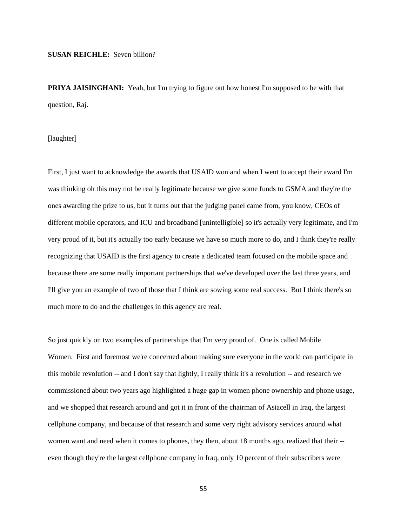#### **SUSAN REICHLE:** Seven billion?

**PRIYA JAISINGHANI:** Yeah, but I'm trying to figure out how honest I'm supposed to be with that question, Raj.

[laughter]

First, I just want to acknowledge the awards that USAID won and when I went to accept their award I'm was thinking oh this may not be really legitimate because we give some funds to GSMA and they're the ones awarding the prize to us, but it turns out that the judging panel came from, you know, CEOs of different mobile operators, and ICU and broadband [unintelligible] so it's actually very legitimate, and I'm very proud of it, but it's actually too early because we have so much more to do, and I think they're really recognizing that USAID is the first agency to create a dedicated team focused on the mobile space and because there are some really important partnerships that we've developed over the last three years, and I'll give you an example of two of those that I think are sowing some real success. But I think there's so much more to do and the challenges in this agency are real.

So just quickly on two examples of partnerships that I'm very proud of. One is called Mobile Women. First and foremost we're concerned about making sure everyone in the world can participate in this mobile revolution -- and I don't say that lightly, I really think it's a revolution -- and research we commissioned about two years ago highlighted a huge gap in women phone ownership and phone usage, and we shopped that research around and got it in front of the chairman of Asiacell in Iraq, the largest cellphone company, and because of that research and some very right advisory services around what women want and need when it comes to phones, they then, about 18 months ago, realized that their - even though they're the largest cellphone company in Iraq, only 10 percent of their subscribers were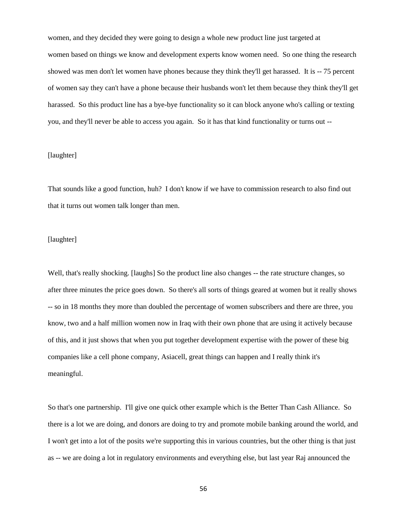women, and they decided they were going to design a whole new product line just targeted at women based on things we know and development experts know women need. So one thing the research showed was men don't let women have phones because they think they'll get harassed. It is -- 75 percent of women say they can't have a phone because their husbands won't let them because they think they'll get harassed. So this product line has a bye-bye functionality so it can block anyone who's calling or texting you, and they'll never be able to access you again. So it has that kind functionality or turns out --

# [laughter]

That sounds like a good function, huh? I don't know if we have to commission research to also find out that it turns out women talk longer than men.

## [laughter]

Well, that's really shocking. [laughs] So the product line also changes -- the rate structure changes, so after three minutes the price goes down. So there's all sorts of things geared at women but it really shows -- so in 18 months they more than doubled the percentage of women subscribers and there are three, you know, two and a half million women now in Iraq with their own phone that are using it actively because of this, and it just shows that when you put together development expertise with the power of these big companies like a cell phone company, Asiacell, great things can happen and I really think it's meaningful.

So that's one partnership. I'll give one quick other example which is the Better Than Cash Alliance. So there is a lot we are doing, and donors are doing to try and promote mobile banking around the world, and I won't get into a lot of the posits we're supporting this in various countries, but the other thing is that just as -- we are doing a lot in regulatory environments and everything else, but last year Raj announced the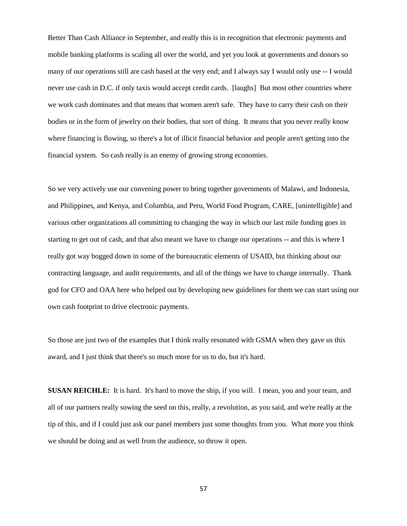Better Than Cash Alliance in September, and really this is in recognition that electronic payments and mobile banking platforms is scaling all over the world, and yet you look at governments and donors so many of our operations still are cash based at the very end; and I always say I would only use -- I would never use cash in D.C. if only taxis would accept credit cards. [laughs] But most other countries where we work cash dominates and that means that women aren't safe. They have to carry their cash on their bodies or in the form of jewelry on their bodies, that sort of thing. It means that you never really know where financing is flowing, so there's a lot of illicit financial behavior and people aren't getting into the financial system. So cash really is an enemy of growing strong economies.

So we very actively use our convening power to bring together governments of Malawi, and Indonesia, and Philippines, and Kenya, and Columbia, and Peru, World Food Program, CARE, [unintelligible] and various other organizations all committing to changing the way in which our last mile funding goes in starting to get out of cash, and that also meant we have to change our operations -- and this is where I really got way bogged down in some of the bureaucratic elements of USAID, but thinking about our contracting language, and audit requirements, and all of the things we have to change internally. Thank god for CFO and OAA here who helped out by developing new guidelines for them we can start using our own cash footprint to drive electronic payments.

So those are just two of the examples that I think really resonated with GSMA when they gave us this award, and I just think that there's so much more for us to do, but it's hard.

**SUSAN REICHLE:** It is hard. It's hard to move the ship, if you will. I mean, you and your team, and all of our partners really sowing the seed on this, really, a revolution, as you said, and we're really at the tip of this, and if I could just ask our panel members just some thoughts from you. What more you think we should be doing and as well from the audience, so throw it open.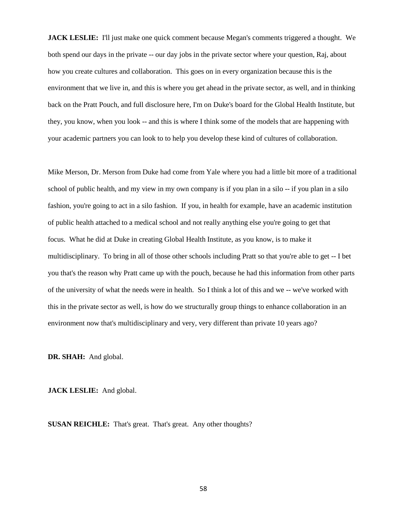**JACK LESLIE:** I'll just make one quick comment because Megan's comments triggered a thought. We both spend our days in the private -- our day jobs in the private sector where your question, Raj, about how you create cultures and collaboration. This goes on in every organization because this is the environment that we live in, and this is where you get ahead in the private sector, as well, and in thinking back on the Pratt Pouch, and full disclosure here, I'm on Duke's board for the Global Health Institute, but they, you know, when you look -- and this is where I think some of the models that are happening with your academic partners you can look to to help you develop these kind of cultures of collaboration.

Mike Merson, Dr. Merson from Duke had come from Yale where you had a little bit more of a traditional school of public health, and my view in my own company is if you plan in a silo -- if you plan in a silo fashion, you're going to act in a silo fashion. If you, in health for example, have an academic institution of public health attached to a medical school and not really anything else you're going to get that focus. What he did at Duke in creating Global Health Institute, as you know, is to make it multidisciplinary. To bring in all of those other schools including Pratt so that you're able to get -- I bet you that's the reason why Pratt came up with the pouch, because he had this information from other parts of the university of what the needs were in health. So I think a lot of this and we -- we've worked with this in the private sector as well, is how do we structurally group things to enhance collaboration in an environment now that's multidisciplinary and very, very different than private 10 years ago?

**DR. SHAH:** And global.

**JACK LESLIE:** And global.

**SUSAN REICHLE:** That's great. That's great. Any other thoughts?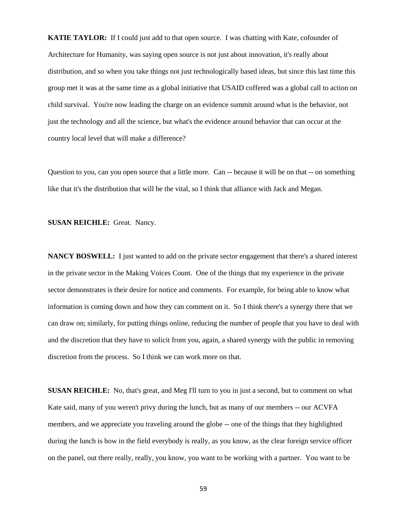**KATIE TAYLOR:** If I could just add to that open source. I was chatting with Kate, cofounder of Architecture for Humanity, was saying open source is not just about innovation, it's really about distribution, and so when you take things not just technologically based ideas, but since this last time this group met it was at the same time as a global initiative that USAID coffered was a global call to action on child survival. You're now leading the charge on an evidence summit around what is the behavior, not just the technology and all the science, but what's the evidence around behavior that can occur at the country local level that will make a difference?

Question to you, can you open source that a little more. Can -- because it will be on that -- on something like that it's the distribution that will be the vital, so I think that alliance with Jack and Megan.

**SUSAN REICHLE:** Great. Nancy.

**NANCY BOSWELL:** I just wanted to add on the private sector engagement that there's a shared interest in the private sector in the Making Voices Count. One of the things that my experience in the private sector demonstrates is their desire for notice and comments. For example, for being able to know what information is coming down and how they can comment on it. So I think there's a synergy there that we can draw on; similarly, for putting things online, reducing the number of people that you have to deal with and the discretion that they have to solicit from you, again, a shared synergy with the public in removing discretion from the process. So I think we can work more on that.

**SUSAN REICHLE:** No, that's great, and Meg I'll turn to you in just a second, but to comment on what Kate said, many of you weren't privy during the lunch, but as many of our members -- our ACVFA members, and we appreciate you traveling around the globe -- one of the things that they highlighted during the lunch is how in the field everybody is really, as you know, as the clear foreign service officer on the panel, out there really, really, you know, you want to be working with a partner. You want to be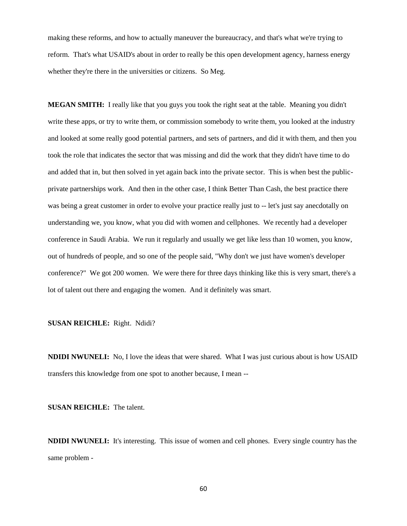making these reforms, and how to actually maneuver the bureaucracy, and that's what we're trying to reform. That's what USAID's about in order to really be this open development agency, harness energy whether they're there in the universities or citizens. So Meg.

**MEGAN SMITH:** I really like that you guys you took the right seat at the table. Meaning you didn't write these apps, or try to write them, or commission somebody to write them, you looked at the industry and looked at some really good potential partners, and sets of partners, and did it with them, and then you took the role that indicates the sector that was missing and did the work that they didn't have time to do and added that in, but then solved in yet again back into the private sector. This is when best the publicprivate partnerships work. And then in the other case, I think Better Than Cash, the best practice there was being a great customer in order to evolve your practice really just to -- let's just say anecdotally on understanding we, you know, what you did with women and cellphones. We recently had a developer conference in Saudi Arabia. We run it regularly and usually we get like less than 10 women, you know, out of hundreds of people, and so one of the people said, "Why don't we just have women's developer conference?" We got 200 women. We were there for three days thinking like this is very smart, there's a lot of talent out there and engaging the women. And it definitely was smart.

**SUSAN REICHLE:** Right. Ndidi?

**NDIDI NWUNELI:** No, I love the ideas that were shared. What I was just curious about is how USAID transfers this knowledge from one spot to another because, I mean --

**SUSAN REICHLE:** The talent.

**NDIDI NWUNELI:** It's interesting. This issue of women and cell phones. Every single country has the same problem -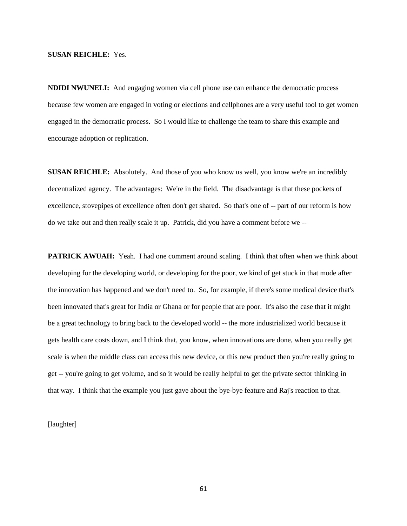## **SUSAN REICHLE:** Yes.

**NDIDI NWUNELI:** And engaging women via cell phone use can enhance the democratic process because few women are engaged in voting or elections and cellphones are a very useful tool to get women engaged in the democratic process. So I would like to challenge the team to share this example and encourage adoption or replication.

**SUSAN REICHLE:** Absolutely. And those of you who know us well, you know we're an incredibly decentralized agency. The advantages: We're in the field. The disadvantage is that these pockets of excellence, stovepipes of excellence often don't get shared. So that's one of -- part of our reform is how do we take out and then really scale it up. Patrick, did you have a comment before we --

**PATRICK AWUAH:** Yeah. I had one comment around scaling. I think that often when we think about developing for the developing world, or developing for the poor, we kind of get stuck in that mode after the innovation has happened and we don't need to. So, for example, if there's some medical device that's been innovated that's great for India or Ghana or for people that are poor. It's also the case that it might be a great technology to bring back to the developed world -- the more industrialized world because it gets health care costs down, and I think that, you know, when innovations are done, when you really get scale is when the middle class can access this new device, or this new product then you're really going to get -- you're going to get volume, and so it would be really helpful to get the private sector thinking in that way. I think that the example you just gave about the bye-bye feature and Raj's reaction to that.

[laughter]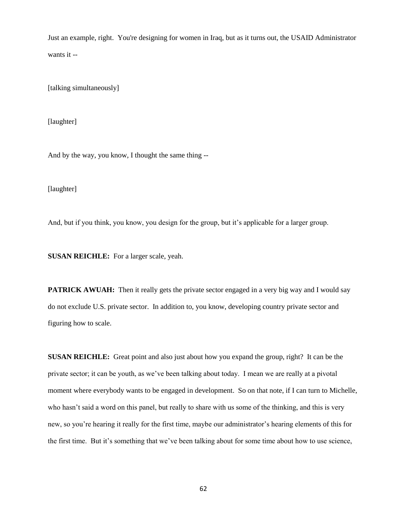Just an example, right. You're designing for women in Iraq, but as it turns out, the USAID Administrator wants it --

[talking simultaneously]

[laughter]

And by the way, you know, I thought the same thing --

[laughter]

And, but if you think, you know, you design for the group, but it's applicable for a larger group.

**SUSAN REICHLE:** For a larger scale, yeah.

**PATRICK AWUAH:** Then it really gets the private sector engaged in a very big way and I would say do not exclude U.S. private sector. In addition to, you know, developing country private sector and figuring how to scale.

**SUSAN REICHLE:** Great point and also just about how you expand the group, right? It can be the private sector; it can be youth, as we've been talking about today. I mean we are really at a pivotal moment where everybody wants to be engaged in development. So on that note, if I can turn to Michelle, who hasn't said a word on this panel, but really to share with us some of the thinking, and this is very new, so you're hearing it really for the first time, maybe our administrator's hearing elements of this for the first time. But it's something that we've been talking about for some time about how to use science,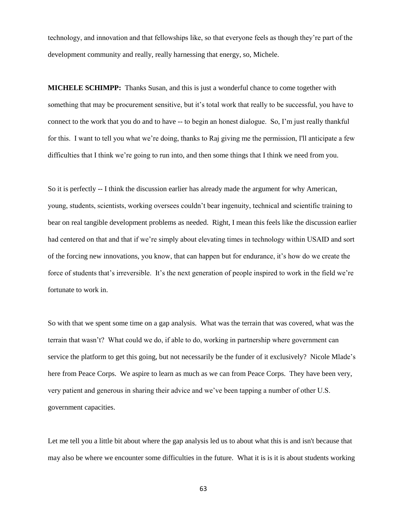technology, and innovation and that fellowships like, so that everyone feels as though they're part of the development community and really, really harnessing that energy, so, Michele.

**MICHELE SCHIMPP:** Thanks Susan, and this is just a wonderful chance to come together with something that may be procurement sensitive, but it's total work that really to be successful, you have to connect to the work that you do and to have -- to begin an honest dialogue. So, I'm just really thankful for this. I want to tell you what we're doing, thanks to Raj giving me the permission, I'll anticipate a few difficulties that I think we're going to run into, and then some things that I think we need from you.

So it is perfectly -- I think the discussion earlier has already made the argument for why American, young, students, scientists, working oversees couldn't bear ingenuity, technical and scientific training to bear on real tangible development problems as needed. Right, I mean this feels like the discussion earlier had centered on that and that if we're simply about elevating times in technology within USAID and sort of the forcing new innovations, you know, that can happen but for endurance, it's how do we create the force of students that's irreversible. It's the next generation of people inspired to work in the field we're fortunate to work in.

So with that we spent some time on a gap analysis. What was the terrain that was covered, what was the terrain that wasn't? What could we do, if able to do, working in partnership where government can service the platform to get this going, but not necessarily be the funder of it exclusively? Nicole Mlade's here from Peace Corps. We aspire to learn as much as we can from Peace Corps. They have been very, very patient and generous in sharing their advice and we've been tapping a number of other U.S. government capacities.

Let me tell you a little bit about where the gap analysis led us to about what this is and isn't because that may also be where we encounter some difficulties in the future. What it is is it is about students working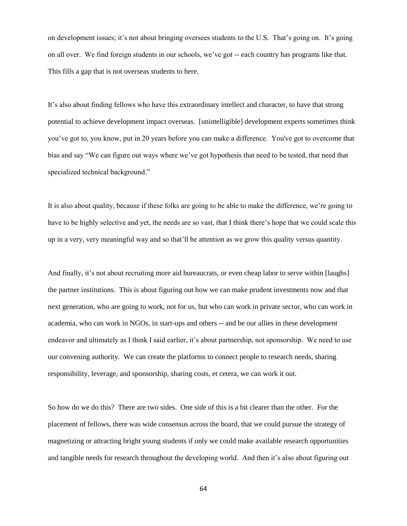on development issues; it's not about bringing oversees students to the U.S. That's going on. It's going on all over. We find foreign students in our schools, we've got -- each country has programs like that. This fills a gap that is not overseas students to here.

It's also about finding fellows who have this extraordinary intellect and character, to have that strong potential to achieve development impact overseas. [unintelligible] development experts sometimes think you've got to, you know, put in 20 years before you can make a difference. You've got to overcome that bias and say "We can figure out ways where we've got hypothesis that need to be tested, that need that specialized technical background."

It is also about quality, because if these folks are going to be able to make the difference, we're going to have to be highly selective and yet, the needs are so vast, that I think there's hope that we could scale this up in a very, very meaningful way and so that'll be attention as we grow this quality versus quantity.

And finally, it's not about recruiting more aid bureaucrats, or even cheap labor to serve within [laughs] the partner institutions. This is about figuring out how we can make prudent investments now and that next generation, who are going to work, not for us, but who can work in private sector, who can work in academia, who can work in NGOs, in start-ups and others -- and be our allies in these development endeavor and ultimately as I think I said earlier, it's about partnership, not sponsorship. We need to use our convening authority. We can create the platforms to connect people to research needs, sharing responsibility, leverage, and sponsorship, sharing costs, et cetera, we can work it out.

So how do we do this? There are two sides. One side of this is a bit clearer than the other. For the placement of fellows, there was wide consensus across the board, that we could pursue the strategy of magnetizing or attracting bright young students if only we could make available research opportunities and tangible needs for research throughout the developing world. And then it's also about figuring out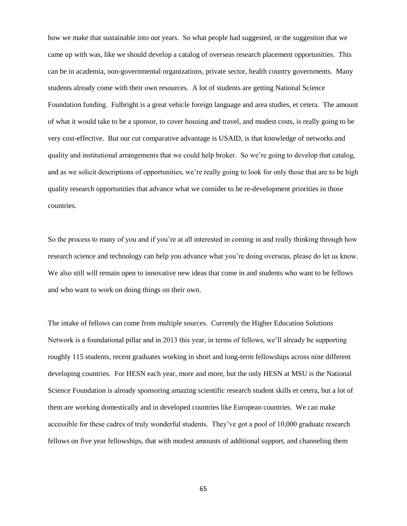how we make that sustainable into out years. So what people had suggested, or the suggestion that we came up with was, like we should develop a catalog of overseas research placement opportunities. This can be in academia, non-governmental organizations, private sector, health country governments. Many students already come with their own resources. A lot of students are getting National Science Foundation funding. Fulbright is a great vehicle foreign language and area studies, et cetera. The amount of what it would take to be a sponsor, to cover housing and travel, and modest costs, is really going to be very cost-effective. But our cut comparative advantage is USAID, is that knowledge of networks and quality and institutional arrangements that we could help broker. So we're going to develop that catalog, and as we solicit descriptions of opportunities, we're really going to look for only those that are to be high quality research opportunities that advance what we consider to be re-development priorities in those countries.

So the process to many of you and if you're at all interested in coming in and really thinking through how research science and technology can help you advance what you're doing overseas, please do let us know. We also still will remain open to innovative new ideas that come in and students who want to be fellows and who want to work on doing things on their own.

The intake of fellows can come from multiple sources. Currently the Higher Education Solutions Network is a foundational pillar and in 2013 this year, in terms of fellows, we'll already be supporting roughly 115 students, recent graduates working in short and long-term fellowships across nine different developing countries. For HESN each year, more and more, but the only HESN at MSU is the National Science Foundation is already sponsoring amazing scientific research student skills et cetera, but a lot of them are working domestically and in developed countries like European countries. We can make accessible for these cadres of truly wonderful students. They've got a pool of 10,000 graduate research fellows on five year fellowships, that with modest amounts of additional support, and channeling them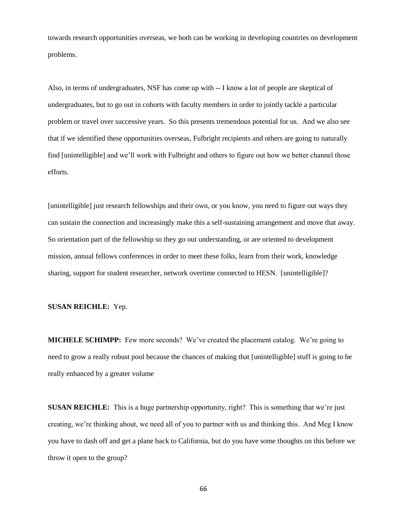towards research opportunities overseas, we both can be working in developing countries on development problems.

Also, in terms of undergraduates, NSF has come up with -- I know a lot of people are skeptical of undergraduates, but to go out in cohorts with faculty members in order to jointly tackle a particular problem or travel over successive years. So this presents tremendous potential for us. And we also see that if we identified these opportunities overseas, Fulbright recipients and others are going to naturally find [unintelligible] and we'll work with Fulbright and others to figure out how we better channel those efforts.

[unintelligible] just research fellowships and their own, or you know, you need to figure out ways they can sustain the connection and increasingly make this a self-sustaining arrangement and move that away. So orientation part of the fellowship so they go out understanding, or are oriented to development mission, annual fellows conferences in order to meet these folks, learn from their work, knowledge sharing, support for student researcher, network overtime connected to HESN. [unintelligible]?

## **SUSAN REICHLE:** Yep.

**MICHELE SCHIMPP:** Few more seconds? We've created the placement catalog. We're going to need to grow a really robust pool because the chances of making that [unintelligible] stuff is going to be really enhanced by a greater volume

**SUSAN REICHLE:** This is a huge partnership opportunity, right? This is something that we're just creating, we're thinking about, we need all of you to partner with us and thinking this. And Meg I know you have to dash off and get a plane back to California, but do you have some thoughts on this before we throw it open to the group?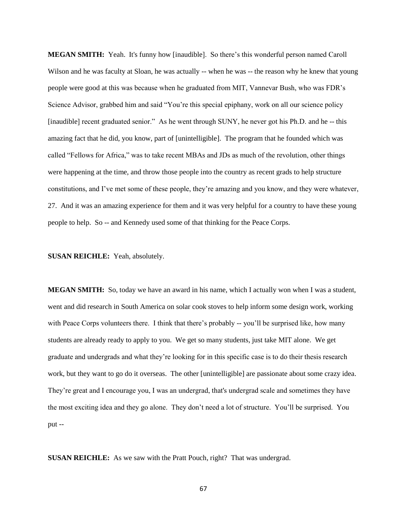**MEGAN SMITH:** Yeah. It's funny how [inaudible]. So there's this wonderful person named Caroll Wilson and he was faculty at Sloan, he was actually -- when he was -- the reason why he knew that young people were good at this was because when he graduated from MIT, Vannevar Bush, who was FDR's Science Advisor, grabbed him and said "You're this special epiphany, work on all our science policy [inaudible] recent graduated senior." As he went through SUNY, he never got his Ph.D. and he -- this amazing fact that he did, you know, part of [unintelligible]. The program that he founded which was called "Fellows for Africa," was to take recent MBAs and JDs as much of the revolution, other things were happening at the time, and throw those people into the country as recent grads to help structure constitutions, and I've met some of these people, they're amazing and you know, and they were whatever, 27. And it was an amazing experience for them and it was very helpful for a country to have these young people to help. So -- and Kennedy used some of that thinking for the Peace Corps.

## **SUSAN REICHLE:** Yeah, absolutely.

**MEGAN SMITH:** So, today we have an award in his name, which I actually won when I was a student, went and did research in South America on solar cook stoves to help inform some design work, working with Peace Corps volunteers there. I think that there's probably -- you'll be surprised like, how many students are already ready to apply to you. We get so many students, just take MIT alone. We get graduate and undergrads and what they're looking for in this specific case is to do their thesis research work, but they want to go do it overseas. The other [unintelligible] are passionate about some crazy idea. They're great and I encourage you, I was an undergrad, that's undergrad scale and sometimes they have the most exciting idea and they go alone. They don't need a lot of structure. You'll be surprised. You put --

**SUSAN REICHLE:** As we saw with the Pratt Pouch, right? That was undergrad.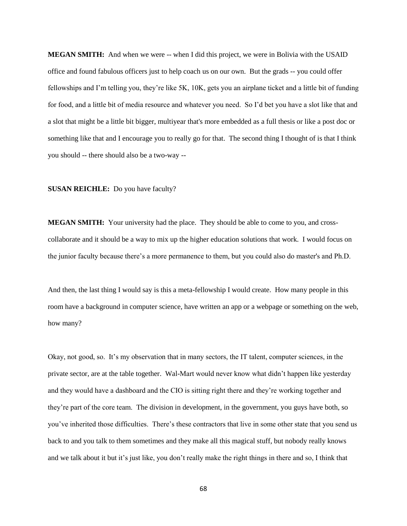**MEGAN SMITH:** And when we were -- when I did this project, we were in Bolivia with the USAID office and found fabulous officers just to help coach us on our own. But the grads -- you could offer fellowships and I'm telling you, they're like 5K, 10K, gets you an airplane ticket and a little bit of funding for food, and a little bit of media resource and whatever you need. So I'd bet you have a slot like that and a slot that might be a little bit bigger, multiyear that's more embedded as a full thesis or like a post doc or something like that and I encourage you to really go for that. The second thing I thought of is that I think you should -- there should also be a two-way --

#### **SUSAN REICHLE:** Do you have faculty?

**MEGAN SMITH:** Your university had the place. They should be able to come to you, and crosscollaborate and it should be a way to mix up the higher education solutions that work. I would focus on the junior faculty because there's a more permanence to them, but you could also do master's and Ph.D.

And then, the last thing I would say is this a meta-fellowship I would create. How many people in this room have a background in computer science, have written an app or a webpage or something on the web, how many?

Okay, not good, so. It's my observation that in many sectors, the IT talent, computer sciences, in the private sector, are at the table together. Wal-Mart would never know what didn't happen like yesterday and they would have a dashboard and the CIO is sitting right there and they're working together and they're part of the core team. The division in development, in the government, you guys have both, so you've inherited those difficulties. There's these contractors that live in some other state that you send us back to and you talk to them sometimes and they make all this magical stuff, but nobody really knows and we talk about it but it's just like, you don't really make the right things in there and so, I think that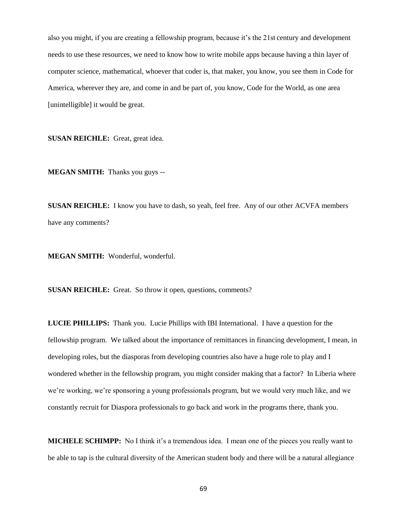also you might, if you are creating a fellowship program, because it's the 21st century and development needs to use these resources, we need to know how to write mobile apps because having a thin layer of computer science, mathematical, whoever that coder is, that maker, you know, you see them in Code for America, wherever they are, and come in and be part of, you know, Code for the World, as one area [unintelligible] it would be great.

**SUSAN REICHLE:** Great, great idea.

**MEGAN SMITH:** Thanks you guys --

**SUSAN REICHLE:** I know you have to dash, so yeah, feel free. Any of our other ACVFA members have any comments?

**MEGAN SMITH:** Wonderful, wonderful.

**SUSAN REICHLE:** Great. So throw it open, questions, comments?

**LUCIE PHILLIPS:** Thank you. Lucie Phillips with IBI International. I have a question for the fellowship program. We talked about the importance of remittances in financing development, I mean, in developing roles, but the diasporas from developing countries also have a huge role to play and I wondered whether in the fellowship program, you might consider making that a factor? In Liberia where we're working, we're sponsoring a young professionals program, but we would very much like, and we constantly recruit for Diaspora professionals to go back and work in the programs there, thank you.

**MICHELE SCHIMPP:** No I think it's a tremendous idea. I mean one of the pieces you really want to be able to tap is the cultural diversity of the American student body and there will be a natural allegiance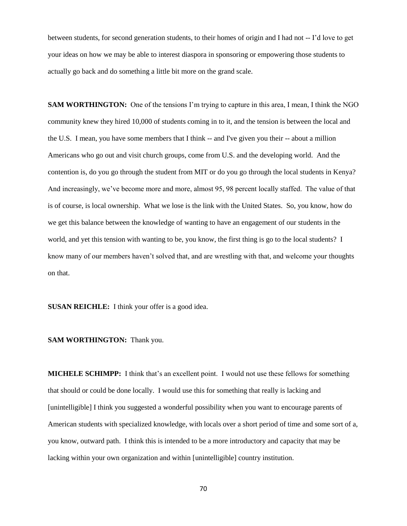between students, for second generation students, to their homes of origin and I had not -- I'd love to get your ideas on how we may be able to interest diaspora in sponsoring or empowering those students to actually go back and do something a little bit more on the grand scale.

**SAM WORTHINGTON:** One of the tensions I'm trying to capture in this area, I mean, I think the NGO community knew they hired 10,000 of students coming in to it, and the tension is between the local and the U.S. I mean, you have some members that I think -- and I've given you their -- about a million Americans who go out and visit church groups, come from U.S. and the developing world. And the contention is, do you go through the student from MIT or do you go through the local students in Kenya? And increasingly, we've become more and more, almost 95, 98 percent locally staffed. The value of that is of course, is local ownership. What we lose is the link with the United States. So, you know, how do we get this balance between the knowledge of wanting to have an engagement of our students in the world, and yet this tension with wanting to be, you know, the first thing is go to the local students? I know many of our members haven't solved that, and are wrestling with that, and welcome your thoughts on that.

**SUSAN REICHLE:** I think your offer is a good idea.

**SAM WORTHINGTON:** Thank you.

**MICHELE SCHIMPP:** I think that's an excellent point. I would not use these fellows for something that should or could be done locally. I would use this for something that really is lacking and [unintelligible] I think you suggested a wonderful possibility when you want to encourage parents of American students with specialized knowledge, with locals over a short period of time and some sort of a, you know, outward path. I think this is intended to be a more introductory and capacity that may be lacking within your own organization and within [unintelligible] country institution.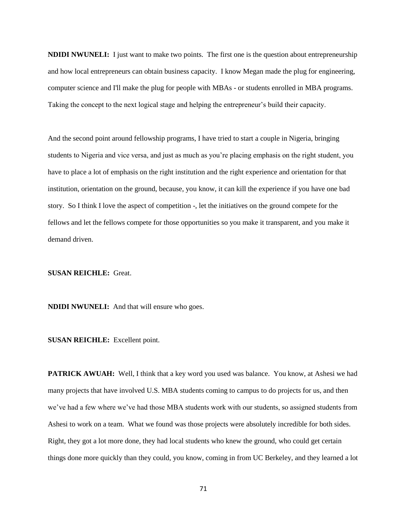**NDIDI NWUNELI:** I just want to make two points. The first one is the question about entrepreneurship and how local entrepreneurs can obtain business capacity. I know Megan made the plug for engineering, computer science and I'll make the plug for people with MBAs - or students enrolled in MBA programs. Taking the concept to the next logical stage and helping the entrepreneur's build their capacity.

And the second point around fellowship programs, I have tried to start a couple in Nigeria, bringing students to Nigeria and vice versa, and just as much as you're placing emphasis on the right student, you have to place a lot of emphasis on the right institution and the right experience and orientation for that institution, orientation on the ground, because, you know, it can kill the experience if you have one bad story. So I think I love the aspect of competition -, let the initiatives on the ground compete for the fellows and let the fellows compete for those opportunities so you make it transparent, and you make it demand driven.

**SUSAN REICHLE:** Great.

**NDIDI NWUNELI:** And that will ensure who goes.

**SUSAN REICHLE:** Excellent point.

**PATRICK AWUAH:** Well, I think that a key word you used was balance. You know, at Ashesi we had many projects that have involved U.S. MBA students coming to campus to do projects for us, and then we've had a few where we've had those MBA students work with our students, so assigned students from Ashesi to work on a team. What we found was those projects were absolutely incredible for both sides. Right, they got a lot more done, they had local students who knew the ground, who could get certain things done more quickly than they could, you know, coming in from UC Berkeley, and they learned a lot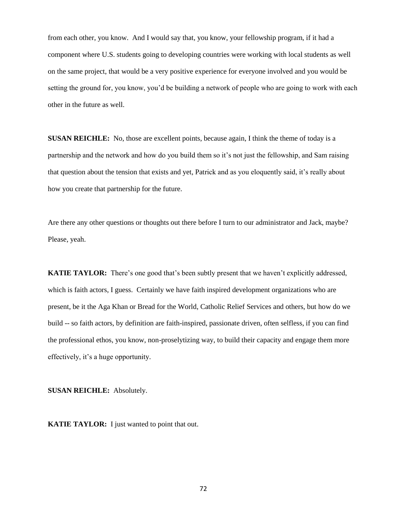from each other, you know. And I would say that, you know, your fellowship program, if it had a component where U.S. students going to developing countries were working with local students as well on the same project, that would be a very positive experience for everyone involved and you would be setting the ground for, you know, you'd be building a network of people who are going to work with each other in the future as well.

**SUSAN REICHLE:** No, those are excellent points, because again, I think the theme of today is a partnership and the network and how do you build them so it's not just the fellowship, and Sam raising that question about the tension that exists and yet, Patrick and as you eloquently said, it's really about how you create that partnership for the future.

Are there any other questions or thoughts out there before I turn to our administrator and Jack, maybe? Please, yeah.

**KATIE TAYLOR:** There's one good that's been subtly present that we haven't explicitly addressed, which is faith actors, I guess. Certainly we have faith inspired development organizations who are present, be it the Aga Khan or Bread for the World, Catholic Relief Services and others, but how do we build -- so faith actors, by definition are faith-inspired, passionate driven, often selfless, if you can find the professional ethos, you know, non-proselytizing way, to build their capacity and engage them more effectively, it's a huge opportunity.

**SUSAN REICHLE:** Absolutely.

**KATIE TAYLOR:** I just wanted to point that out.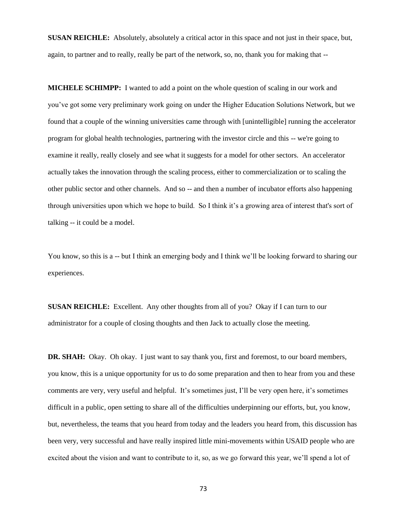**SUSAN REICHLE:** Absolutely, absolutely a critical actor in this space and not just in their space, but, again, to partner and to really, really be part of the network, so, no, thank you for making that --

**MICHELE SCHIMPP:** I wanted to add a point on the whole question of scaling in our work and you've got some very preliminary work going on under the Higher Education Solutions Network, but we found that a couple of the winning universities came through with [unintelligible] running the accelerator program for global health technologies, partnering with the investor circle and this -- we're going to examine it really, really closely and see what it suggests for a model for other sectors. An accelerator actually takes the innovation through the scaling process, either to commercialization or to scaling the other public sector and other channels. And so -- and then a number of incubator efforts also happening through universities upon which we hope to build. So I think it's a growing area of interest that's sort of talking -- it could be a model.

You know, so this is a -- but I think an emerging body and I think we'll be looking forward to sharing our experiences.

**SUSAN REICHLE:** Excellent. Any other thoughts from all of you? Okay if I can turn to our administrator for a couple of closing thoughts and then Jack to actually close the meeting.

**DR. SHAH:** Okay. Oh okay. I just want to say thank you, first and foremost, to our board members, you know, this is a unique opportunity for us to do some preparation and then to hear from you and these comments are very, very useful and helpful. It's sometimes just, I'll be very open here, it's sometimes difficult in a public, open setting to share all of the difficulties underpinning our efforts, but, you know, but, nevertheless, the teams that you heard from today and the leaders you heard from, this discussion has been very, very successful and have really inspired little mini-movements within USAID people who are excited about the vision and want to contribute to it, so, as we go forward this year, we'll spend a lot of

73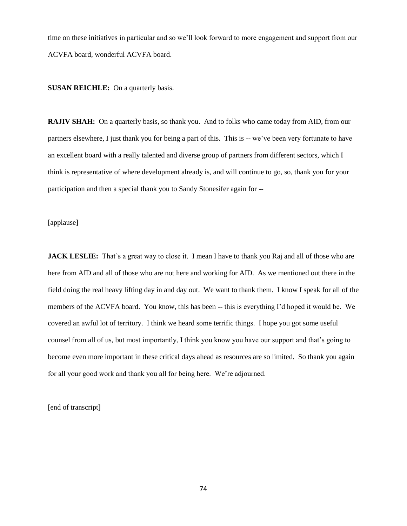time on these initiatives in particular and so we'll look forward to more engagement and support from our ACVFA board, wonderful ACVFA board.

**SUSAN REICHLE:** On a quarterly basis.

**RAJIV SHAH:** On a quarterly basis, so thank you. And to folks who came today from AID, from our partners elsewhere, I just thank you for being a part of this. This is -- we've been very fortunate to have an excellent board with a really talented and diverse group of partners from different sectors, which I think is representative of where development already is, and will continue to go, so, thank you for your participation and then a special thank you to Sandy Stonesifer again for --

[applause]

**JACK LESLIE:** That's a great way to close it. I mean I have to thank you Raj and all of those who are here from AID and all of those who are not here and working for AID. As we mentioned out there in the field doing the real heavy lifting day in and day out. We want to thank them. I know I speak for all of the members of the ACVFA board. You know, this has been -- this is everything I'd hoped it would be. We covered an awful lot of territory. I think we heard some terrific things. I hope you got some useful counsel from all of us, but most importantly, I think you know you have our support and that's going to become even more important in these critical days ahead as resources are so limited. So thank you again for all your good work and thank you all for being here. We're adjourned.

[end of transcript]